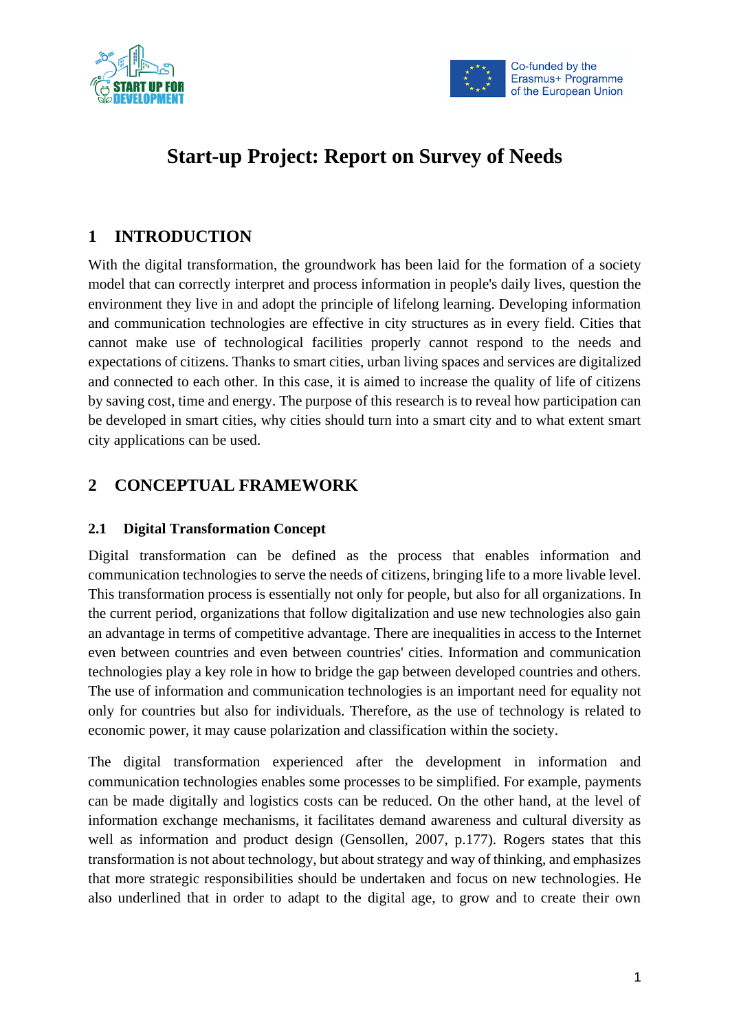



# **Start-up Project: Report on Survey of Needs**

# **1 INTRODUCTION**

With the digital transformation, the groundwork has been laid for the formation of a society model that can correctly interpret and process information in people's daily lives, question the environment they live in and adopt the principle of lifelong learning. Developing information and communication technologies are effective in city structures as in every field. Cities that cannot make use of technological facilities properly cannot respond to the needs and expectations of citizens. Thanks to smart cities, urban living spaces and services are digitalized and connected to each other. In this case, it is aimed to increase the quality of life of citizens by saving cost, time and energy. The purpose of this research is to reveal how participation can be developed in smart cities, why cities should turn into a smart city and to what extent smart city applications can be used.

# **2 CONCEPTUAL FRAMEWORK**

# **2.1 Digital Transformation Concept**

Digital transformation can be defined as the process that enables information and communication technologies to serve the needs of citizens, bringing life to a more livable level. This transformation process is essentially not only for people, but also for all organizations. In the current period, organizations that follow digitalization and use new technologies also gain an advantage in terms of competitive advantage. There are inequalities in access to the Internet even between countries and even between countries' cities. Information and communication technologies play a key role in how to bridge the gap between developed countries and others. The use of information and communication technologies is an important need for equality not only for countries but also for individuals. Therefore, as the use of technology is related to economic power, it may cause polarization and classification within the society.

The digital transformation experienced after the development in information and communication technologies enables some processes to be simplified. For example, payments can be made digitally and logistics costs can be reduced. On the other hand, at the level of information exchange mechanisms, it facilitates demand awareness and cultural diversity as well as information and product design (Gensollen, 2007, p.177). Rogers states that this transformation is not about technology, but about strategy and way of thinking, and emphasizes that more strategic responsibilities should be undertaken and focus on new technologies. He also underlined that in order to adapt to the digital age, to grow and to create their own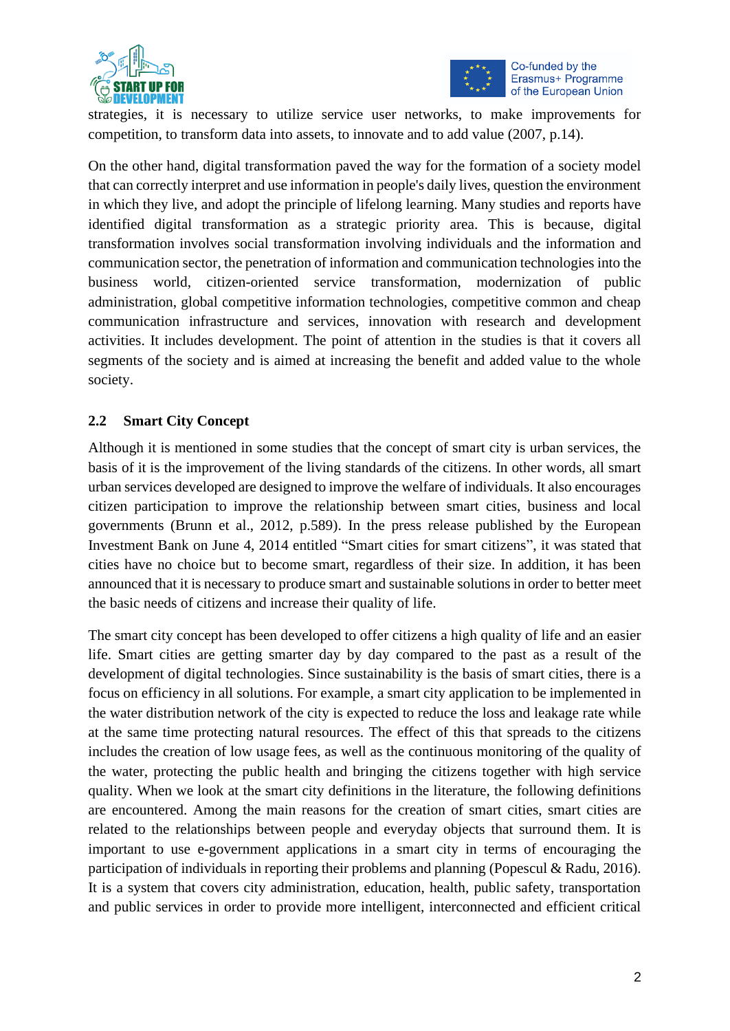



strategies, it is necessary to utilize service user networks, to make improvements for competition, to transform data into assets, to innovate and to add value (2007, p.14).

On the other hand, digital transformation paved the way for the formation of a society model that can correctly interpret and use information in people's daily lives, question the environment in which they live, and adopt the principle of lifelong learning. Many studies and reports have identified digital transformation as a strategic priority area. This is because, digital transformation involves social transformation involving individuals and the information and communication sector, the penetration of information and communication technologies into the business world, citizen-oriented service transformation, modernization of public administration, global competitive information technologies, competitive common and cheap communication infrastructure and services, innovation with research and development activities. It includes development. The point of attention in the studies is that it covers all segments of the society and is aimed at increasing the benefit and added value to the whole society.

### **2.2 Smart City Concept**

Although it is mentioned in some studies that the concept of smart city is urban services, the basis of it is the improvement of the living standards of the citizens. In other words, all smart urban services developed are designed to improve the welfare of individuals. It also encourages citizen participation to improve the relationship between smart cities, business and local governments (Brunn et al., 2012, p.589). In the press release published by the European Investment Bank on June 4, 2014 entitled "Smart cities for smart citizens", it was stated that cities have no choice but to become smart, regardless of their size. In addition, it has been announced that it is necessary to produce smart and sustainable solutions in order to better meet the basic needs of citizens and increase their quality of life.

The smart city concept has been developed to offer citizens a high quality of life and an easier life. Smart cities are getting smarter day by day compared to the past as a result of the development of digital technologies. Since sustainability is the basis of smart cities, there is a focus on efficiency in all solutions. For example, a smart city application to be implemented in the water distribution network of the city is expected to reduce the loss and leakage rate while at the same time protecting natural resources. The effect of this that spreads to the citizens includes the creation of low usage fees, as well as the continuous monitoring of the quality of the water, protecting the public health and bringing the citizens together with high service quality. When we look at the smart city definitions in the literature, the following definitions are encountered. Among the main reasons for the creation of smart cities, smart cities are related to the relationships between people and everyday objects that surround them. It is important to use e-government applications in a smart city in terms of encouraging the participation of individuals in reporting their problems and planning (Popescul & Radu, 2016). It is a system that covers city administration, education, health, public safety, transportation and public services in order to provide more intelligent, interconnected and efficient critical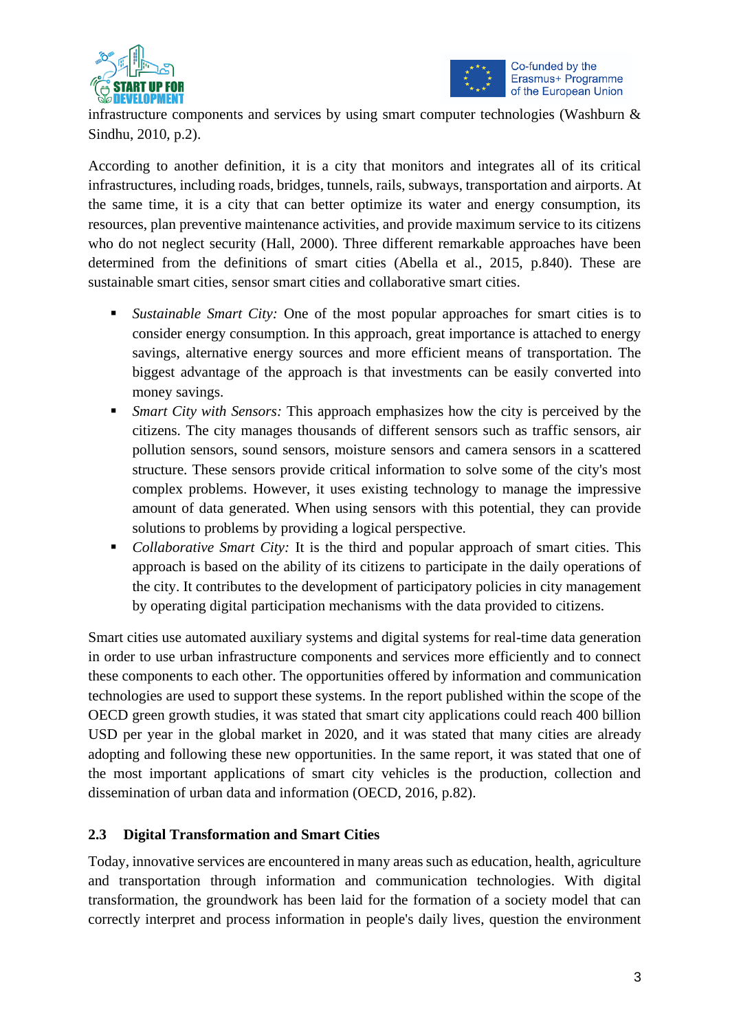



infrastructure components and services by using smart computer technologies (Washburn & Sindhu, 2010, p.2).

According to another definition, it is a city that monitors and integrates all of its critical infrastructures, including roads, bridges, tunnels, rails, subways, transportation and airports. At the same time, it is a city that can better optimize its water and energy consumption, its resources, plan preventive maintenance activities, and provide maximum service to its citizens who do not neglect security (Hall, 2000). Three different remarkable approaches have been determined from the definitions of smart cities (Abella et al., 2015, p.840). These are sustainable smart cities, sensor smart cities and collaborative smart cities.

- Sustainable Smart City: One of the most popular approaches for smart cities is to consider energy consumption. In this approach, great importance is attached to energy savings, alternative energy sources and more efficient means of transportation. The biggest advantage of the approach is that investments can be easily converted into money savings.
- *Smart City with Sensors:* This approach emphasizes how the city is perceived by the citizens. The city manages thousands of different sensors such as traffic sensors, air pollution sensors, sound sensors, moisture sensors and camera sensors in a scattered structure. These sensors provide critical information to solve some of the city's most complex problems. However, it uses existing technology to manage the impressive amount of data generated. When using sensors with this potential, they can provide solutions to problems by providing a logical perspective.
- *Collaborative Smart City:* It is the third and popular approach of smart cities. This approach is based on the ability of its citizens to participate in the daily operations of the city. It contributes to the development of participatory policies in city management by operating digital participation mechanisms with the data provided to citizens.

Smart cities use automated auxiliary systems and digital systems for real-time data generation in order to use urban infrastructure components and services more efficiently and to connect these components to each other. The opportunities offered by information and communication technologies are used to support these systems. In the report published within the scope of the OECD green growth studies, it was stated that smart city applications could reach 400 billion USD per year in the global market in 2020, and it was stated that many cities are already adopting and following these new opportunities. In the same report, it was stated that one of the most important applications of smart city vehicles is the production, collection and dissemination of urban data and information (OECD, 2016, p.82).

# **2.3 Digital Transformation and Smart Cities**

Today, innovative services are encountered in many areas such as education, health, agriculture and transportation through information and communication technologies. With digital transformation, the groundwork has been laid for the formation of a society model that can correctly interpret and process information in people's daily lives, question the environment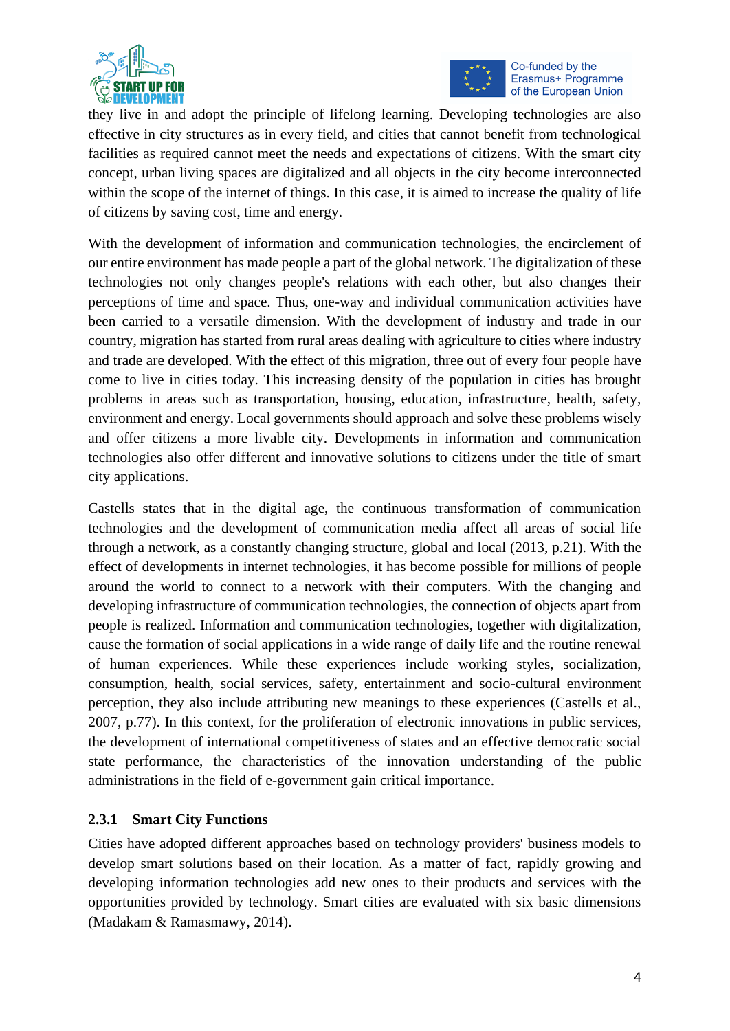



they live in and adopt the principle of lifelong learning. Developing technologies are also effective in city structures as in every field, and cities that cannot benefit from technological facilities as required cannot meet the needs and expectations of citizens. With the smart city concept, urban living spaces are digitalized and all objects in the city become interconnected within the scope of the internet of things. In this case, it is aimed to increase the quality of life of citizens by saving cost, time and energy.

With the development of information and communication technologies, the encirclement of our entire environment has made people a part of the global network. The digitalization of these technologies not only changes people's relations with each other, but also changes their perceptions of time and space. Thus, one-way and individual communication activities have been carried to a versatile dimension. With the development of industry and trade in our country, migration has started from rural areas dealing with agriculture to cities where industry and trade are developed. With the effect of this migration, three out of every four people have come to live in cities today. This increasing density of the population in cities has brought problems in areas such as transportation, housing, education, infrastructure, health, safety, environment and energy. Local governments should approach and solve these problems wisely and offer citizens a more livable city. Developments in information and communication technologies also offer different and innovative solutions to citizens under the title of smart city applications.

Castells states that in the digital age, the continuous transformation of communication technologies and the development of communication media affect all areas of social life through a network, as a constantly changing structure, global and local (2013, p.21). With the effect of developments in internet technologies, it has become possible for millions of people around the world to connect to a network with their computers. With the changing and developing infrastructure of communication technologies, the connection of objects apart from people is realized. Information and communication technologies, together with digitalization, cause the formation of social applications in a wide range of daily life and the routine renewal of human experiences. While these experiences include working styles, socialization, consumption, health, social services, safety, entertainment and socio-cultural environment perception, they also include attributing new meanings to these experiences (Castells et al., 2007, p.77). In this context, for the proliferation of electronic innovations in public services, the development of international competitiveness of states and an effective democratic social state performance, the characteristics of the innovation understanding of the public administrations in the field of e-government gain critical importance.

#### **2.3.1 Smart City Functions**

Cities have adopted different approaches based on technology providers' business models to develop smart solutions based on their location. As a matter of fact, rapidly growing and developing information technologies add new ones to their products and services with the opportunities provided by technology. Smart cities are evaluated with six basic dimensions (Madakam & Ramasmawy, 2014).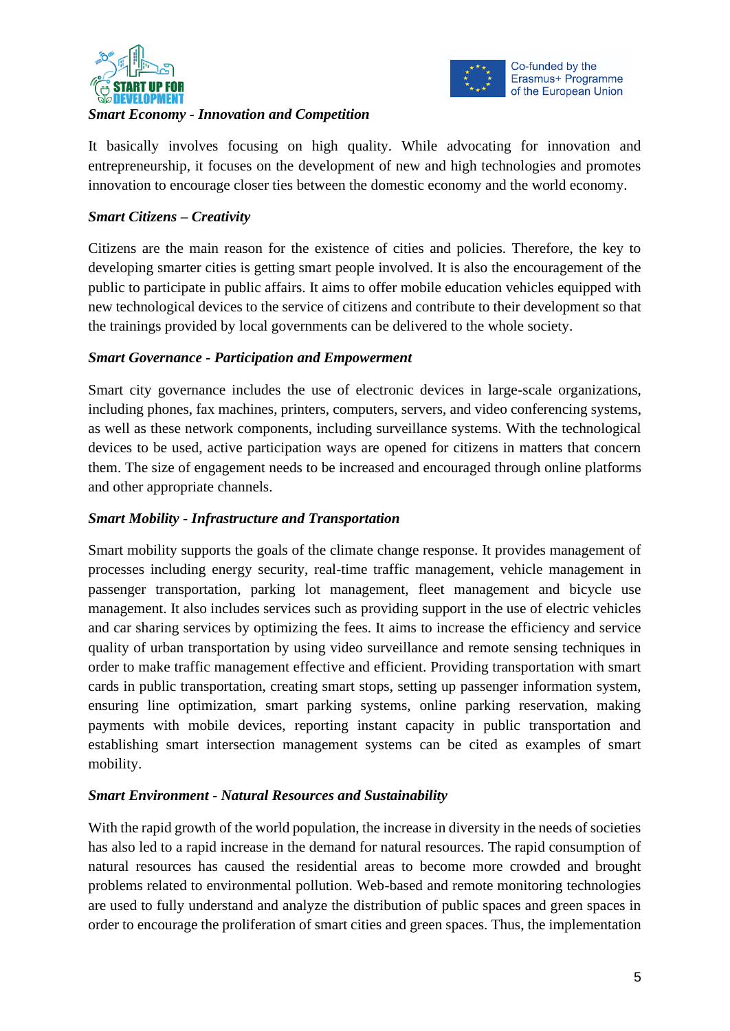



### *Smart Economy - Innovation and Competition*

It basically involves focusing on high quality. While advocating for innovation and entrepreneurship, it focuses on the development of new and high technologies and promotes innovation to encourage closer ties between the domestic economy and the world economy.

# *Smart Citizens – Creativity*

Citizens are the main reason for the existence of cities and policies. Therefore, the key to developing smarter cities is getting smart people involved. It is also the encouragement of the public to participate in public affairs. It aims to offer mobile education vehicles equipped with new technological devices to the service of citizens and contribute to their development so that the trainings provided by local governments can be delivered to the whole society.

# *Smart Governance - Participation and Empowerment*

Smart city governance includes the use of electronic devices in large-scale organizations, including phones, fax machines, printers, computers, servers, and video conferencing systems, as well as these network components, including surveillance systems. With the technological devices to be used, active participation ways are opened for citizens in matters that concern them. The size of engagement needs to be increased and encouraged through online platforms and other appropriate channels.

### *Smart Mobility - Infrastructure and Transportation*

Smart mobility supports the goals of the climate change response. It provides management of processes including energy security, real-time traffic management, vehicle management in passenger transportation, parking lot management, fleet management and bicycle use management. It also includes services such as providing support in the use of electric vehicles and car sharing services by optimizing the fees. It aims to increase the efficiency and service quality of urban transportation by using video surveillance and remote sensing techniques in order to make traffic management effective and efficient. Providing transportation with smart cards in public transportation, creating smart stops, setting up passenger information system, ensuring line optimization, smart parking systems, online parking reservation, making payments with mobile devices, reporting instant capacity in public transportation and establishing smart intersection management systems can be cited as examples of smart mobility.

# *Smart Environment - Natural Resources and Sustainability*

With the rapid growth of the world population, the increase in diversity in the needs of societies has also led to a rapid increase in the demand for natural resources. The rapid consumption of natural resources has caused the residential areas to become more crowded and brought problems related to environmental pollution. Web-based and remote monitoring technologies are used to fully understand and analyze the distribution of public spaces and green spaces in order to encourage the proliferation of smart cities and green spaces. Thus, the implementation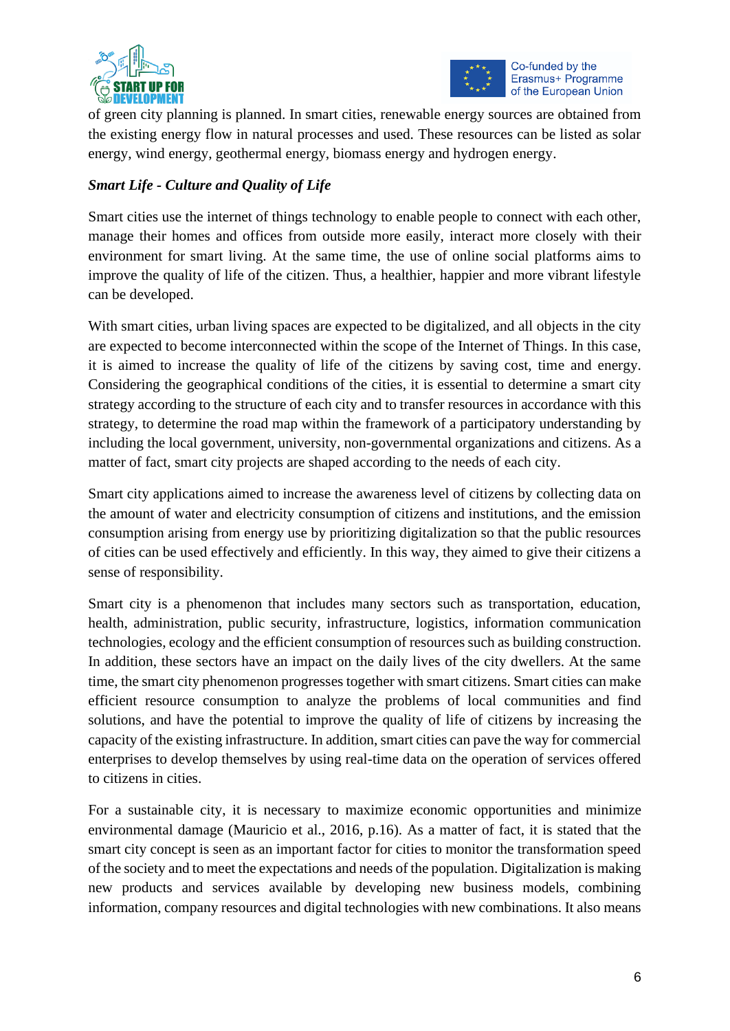



of green city planning is planned. In smart cities, renewable energy sources are obtained from the existing energy flow in natural processes and used. These resources can be listed as solar energy, wind energy, geothermal energy, biomass energy and hydrogen energy.

# *Smart Life - Culture and Quality of Life*

Smart cities use the internet of things technology to enable people to connect with each other, manage their homes and offices from outside more easily, interact more closely with their environment for smart living. At the same time, the use of online social platforms aims to improve the quality of life of the citizen. Thus, a healthier, happier and more vibrant lifestyle can be developed.

With smart cities, urban living spaces are expected to be digitalized, and all objects in the city are expected to become interconnected within the scope of the Internet of Things. In this case, it is aimed to increase the quality of life of the citizens by saving cost, time and energy. Considering the geographical conditions of the cities, it is essential to determine a smart city strategy according to the structure of each city and to transfer resources in accordance with this strategy, to determine the road map within the framework of a participatory understanding by including the local government, university, non-governmental organizations and citizens. As a matter of fact, smart city projects are shaped according to the needs of each city.

Smart city applications aimed to increase the awareness level of citizens by collecting data on the amount of water and electricity consumption of citizens and institutions, and the emission consumption arising from energy use by prioritizing digitalization so that the public resources of cities can be used effectively and efficiently. In this way, they aimed to give their citizens a sense of responsibility.

Smart city is a phenomenon that includes many sectors such as transportation, education, health, administration, public security, infrastructure, logistics, information communication technologies, ecology and the efficient consumption of resources such as building construction. In addition, these sectors have an impact on the daily lives of the city dwellers. At the same time, the smart city phenomenon progresses together with smart citizens. Smart cities can make efficient resource consumption to analyze the problems of local communities and find solutions, and have the potential to improve the quality of life of citizens by increasing the capacity of the existing infrastructure. In addition, smart cities can pave the way for commercial enterprises to develop themselves by using real-time data on the operation of services offered to citizens in cities.

For a sustainable city, it is necessary to maximize economic opportunities and minimize environmental damage (Mauricio et al., 2016, p.16). As a matter of fact, it is stated that the smart city concept is seen as an important factor for cities to monitor the transformation speed of the society and to meet the expectations and needs of the population. Digitalization is making new products and services available by developing new business models, combining information, company resources and digital technologies with new combinations. It also means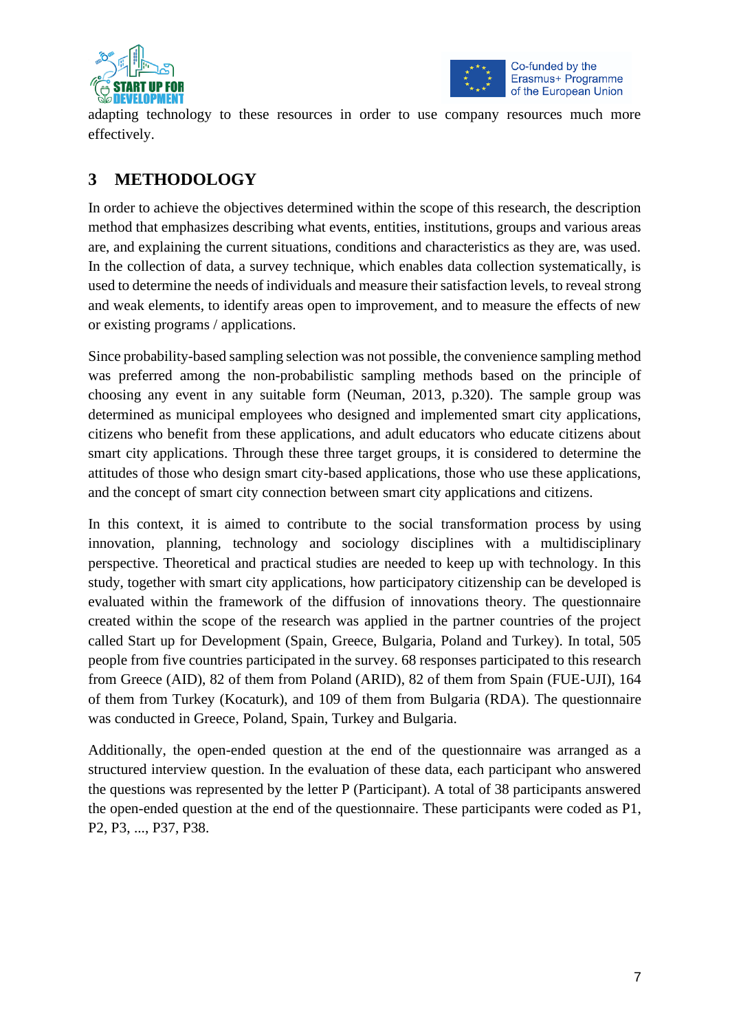



adapting technology to these resources in order to use company resources much more effectively.

# **3 METHODOLOGY**

In order to achieve the objectives determined within the scope of this research, the description method that emphasizes describing what events, entities, institutions, groups and various areas are, and explaining the current situations, conditions and characteristics as they are, was used. In the collection of data, a survey technique, which enables data collection systematically, is used to determine the needs of individuals and measure their satisfaction levels, to reveal strong and weak elements, to identify areas open to improvement, and to measure the effects of new or existing programs / applications.

Since probability-based sampling selection was not possible, the convenience sampling method was preferred among the non-probabilistic sampling methods based on the principle of choosing any event in any suitable form (Neuman, 2013, p.320). The sample group was determined as municipal employees who designed and implemented smart city applications, citizens who benefit from these applications, and adult educators who educate citizens about smart city applications. Through these three target groups, it is considered to determine the attitudes of those who design smart city-based applications, those who use these applications, and the concept of smart city connection between smart city applications and citizens.

In this context, it is aimed to contribute to the social transformation process by using innovation, planning, technology and sociology disciplines with a multidisciplinary perspective. Theoretical and practical studies are needed to keep up with technology. In this study, together with smart city applications, how participatory citizenship can be developed is evaluated within the framework of the diffusion of innovations theory. The questionnaire created within the scope of the research was applied in the partner countries of the project called Start up for Development (Spain, Greece, Bulgaria, Poland and Turkey). In total, 505 people from five countries participated in the survey. 68 responses participated to this research from Greece (AID), 82 of them from Poland (ARID), 82 of them from Spain (FUE-UJI), 164 of them from Turkey (Kocaturk), and 109 of them from Bulgaria (RDA). The questionnaire was conducted in Greece, Poland, Spain, Turkey and Bulgaria.

Additionally, the open-ended question at the end of the questionnaire was arranged as a structured interview question. In the evaluation of these data, each participant who answered the questions was represented by the letter P (Participant). A total of 38 participants answered the open-ended question at the end of the questionnaire. These participants were coded as P1, P2, P3, ..., P37, P38.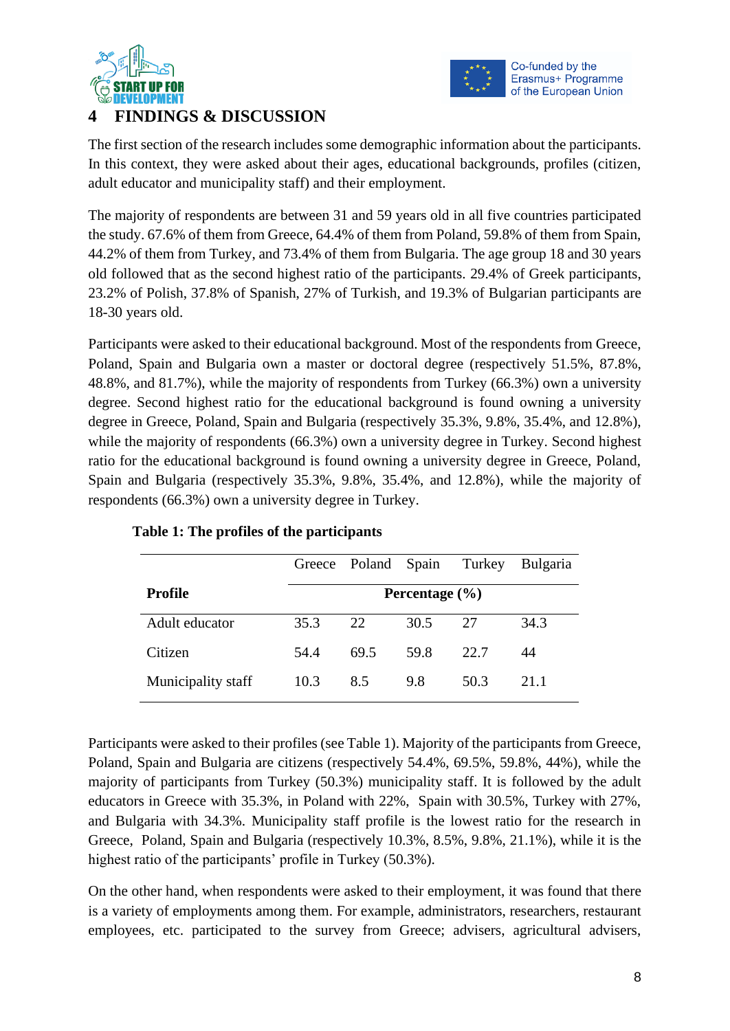



# **4 FINDINGS & DISCUSSION**

The first section of the research includes some demographic information about the participants. In this context, they were asked about their ages, educational backgrounds, profiles (citizen, adult educator and municipality staff) and their employment.

The majority of respondents are between 31 and 59 years old in all five countries participated the study. 67.6% of them from Greece, 64.4% of them from Poland, 59.8% of them from Spain, 44.2% of them from Turkey, and 73.4% of them from Bulgaria. The age group 18 and 30 years old followed that as the second highest ratio of the participants. 29.4% of Greek participants, 23.2% of Polish, 37.8% of Spanish, 27% of Turkish, and 19.3% of Bulgarian participants are 18-30 years old.

Participants were asked to their educational background. Most of the respondents from Greece, Poland, Spain and Bulgaria own a master or doctoral degree (respectively 51.5%, 87.8%, 48.8%, and 81.7%), while the majority of respondents from Turkey (66.3%) own a university degree. Second highest ratio for the educational background is found owning a university degree in Greece, Poland, Spain and Bulgaria (respectively 35.3%, 9.8%, 35.4%, and 12.8%), while the majority of respondents (66.3%) own a university degree in Turkey. Second highest ratio for the educational background is found owning a university degree in Greece, Poland, Spain and Bulgaria (respectively 35.3%, 9.8%, 35.4%, and 12.8%), while the majority of respondents (66.3%) own a university degree in Turkey.

|                    |                    | Greece Poland Spain |      | Turkey | <b>Bulgaria</b> |  |  |  |
|--------------------|--------------------|---------------------|------|--------|-----------------|--|--|--|
| <b>Profile</b>     | Percentage $(\% )$ |                     |      |        |                 |  |  |  |
| Adult educator     | 35.3               | 22.                 | 30.5 | 27     | 34.3            |  |  |  |
| Citizen            | 54.4               | 69.5                | 59.8 | 22.7   | 44              |  |  |  |
| Municipality staff | 10.3               | 8.5                 | 9.8  | 50.3   | 21.1            |  |  |  |

#### **Table 1: The profiles of the participants**

Participants were asked to their profiles (see Table 1). Majority of the participants from Greece, Poland, Spain and Bulgaria are citizens (respectively 54.4%, 69.5%, 59.8%, 44%), while the majority of participants from Turkey (50.3%) municipality staff. It is followed by the adult educators in Greece with 35.3%, in Poland with 22%, Spain with 30.5%, Turkey with 27%, and Bulgaria with 34.3%. Municipality staff profile is the lowest ratio for the research in Greece, Poland, Spain and Bulgaria (respectively 10.3%, 8.5%, 9.8%, 21.1%), while it is the highest ratio of the participants' profile in Turkey (50.3%).

On the other hand, when respondents were asked to their employment, it was found that there is a variety of employments among them. For example, administrators, researchers, restaurant employees, etc. participated to the survey from Greece; advisers, agricultural advisers,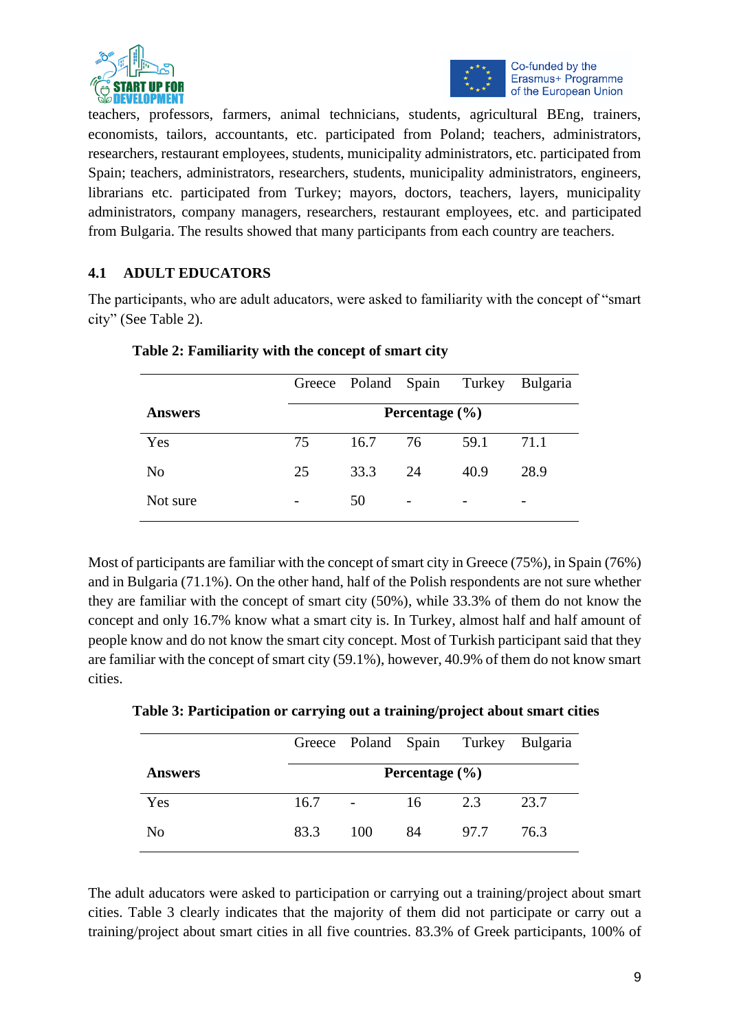



teachers, professors, farmers, animal technicians, students, agricultural BEng, trainers, economists, tailors, accountants, etc. participated from Poland; teachers, administrators, researchers, restaurant employees, students, municipality administrators, etc. participated from Spain; teachers, administrators, researchers, students, municipality administrators, engineers, librarians etc. participated from Turkey; mayors, doctors, teachers, layers, municipality administrators, company managers, researchers, restaurant employees, etc. and participated from Bulgaria. The results showed that many participants from each country are teachers.

# **4.1 ADULT EDUCATORS**

The participants, who are adult aducators, were asked to familiarity with the concept of "smart city" (See Table 2).

|                |    | Greece Poland Spain |    | Turkey | <b>Bulgaria</b> |  |  |  |  |
|----------------|----|---------------------|----|--------|-----------------|--|--|--|--|
| <b>Answers</b> |    | Percentage $(\% )$  |    |        |                 |  |  |  |  |
| Yes            | 75 | 16.7                | 76 | 59.1   | 71.1            |  |  |  |  |
| N <sub>o</sub> | 25 | 33.3                | 24 | 40.9   | 28.9            |  |  |  |  |
| Not sure       |    | 50                  | -  |        |                 |  |  |  |  |

**Table 2: Familiarity with the concept of smart city**

Most of participants are familiar with the concept of smart city in Greece (75%), in Spain (76%) and in Bulgaria (71.1%). On the other hand, half of the Polish respondents are not sure whether they are familiar with the concept of smart city (50%), while 33.3% of them do not know the concept and only 16.7% know what a smart city is. In Turkey, almost half and half amount of people know and do not know the smart city concept. Most of Turkish participant said that they are familiar with the concept of smart city (59.1%), however, 40.9% of them do not know smart cities.

**Table 3: Participation or carrying out a training/project about smart cities**

|                |      |     |                    | Greece Poland Spain Turkey Bulgaria |      |
|----------------|------|-----|--------------------|-------------------------------------|------|
| <b>Answers</b> |      |     | Percentage $(\% )$ |                                     |      |
| Yes            | 16.7 |     | 16                 | 2.3                                 | 23.7 |
| N <sub>0</sub> | 83.3 | 100 | 84                 | 97.7                                | 76.3 |

The adult aducators were asked to participation or carrying out a training/project about smart cities. Table 3 clearly indicates that the majority of them did not participate or carry out a training/project about smart cities in all five countries. 83.3% of Greek participants, 100% of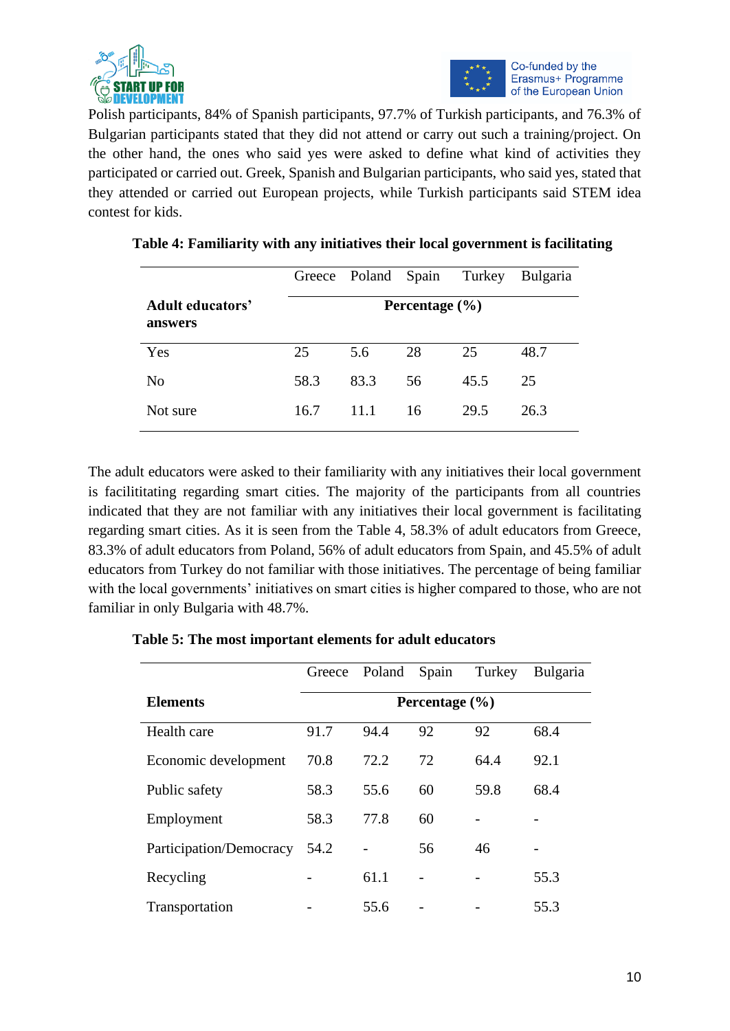



Polish participants, 84% of Spanish participants, 97.7% of Turkish participants, and 76.3% of Bulgarian participants stated that they did not attend or carry out such a training/project. On the other hand, the ones who said yes were asked to define what kind of activities they participated or carried out. Greek, Spanish and Bulgarian participants, who said yes, stated that they attended or carried out European projects, while Turkish participants said STEM idea contest for kids.

|                                    | Greece | Poland Spain |                    | Turkey | <b>Bulgaria</b> |
|------------------------------------|--------|--------------|--------------------|--------|-----------------|
| <b>Adult educators'</b><br>answers |        |              | Percentage $(\% )$ |        |                 |
| Yes                                | 25     | 5.6          | 28                 | 25     | 48.7            |
| No                                 | 58.3   | 83.3         | 56                 | 45.5   | 25              |
| Not sure                           | 16.7   | 11.1         | 16                 | 29.5   | 26.3            |

| Table 4: Familiarity with any initiatives their local government is facilitating |  |  |  |
|----------------------------------------------------------------------------------|--|--|--|
|                                                                                  |  |  |  |

The adult educators were asked to their familiarity with any initiatives their local government is facilititating regarding smart cities. The majority of the participants from all countries indicated that they are not familiar with any initiatives their local government is facilitating regarding smart cities. As it is seen from the Table 4, 58.3% of adult educators from Greece, 83.3% of adult educators from Poland, 56% of adult educators from Spain, and 45.5% of adult educators from Turkey do not familiar with those initiatives. The percentage of being familiar with the local governments' initiatives on smart cities is higher compared to those, who are not familiar in only Bulgaria with 48.7%.

|                         |      | Greece Poland | Spain              | Turkey | <b>Bulgaria</b> |
|-------------------------|------|---------------|--------------------|--------|-----------------|
| <b>Elements</b>         |      |               | Percentage $(\% )$ |        |                 |
| Health care             | 91.7 | 94.4          | 92                 | 92     | 68.4            |
| Economic development    | 70.8 | 72.2          | 72                 | 64.4   | 92.1            |
| Public safety           | 58.3 | 55.6          | 60                 | 59.8   | 68.4            |
| Employment              | 58.3 | 77.8          | 60                 |        |                 |
| Participation/Democracy | 54.2 |               | 56                 | 46     |                 |
| Recycling               |      | 61.1          |                    |        | 55.3            |
| Transportation          |      | 55.6          |                    |        | 55.3            |

**Table 5: The most important elements for adult educators**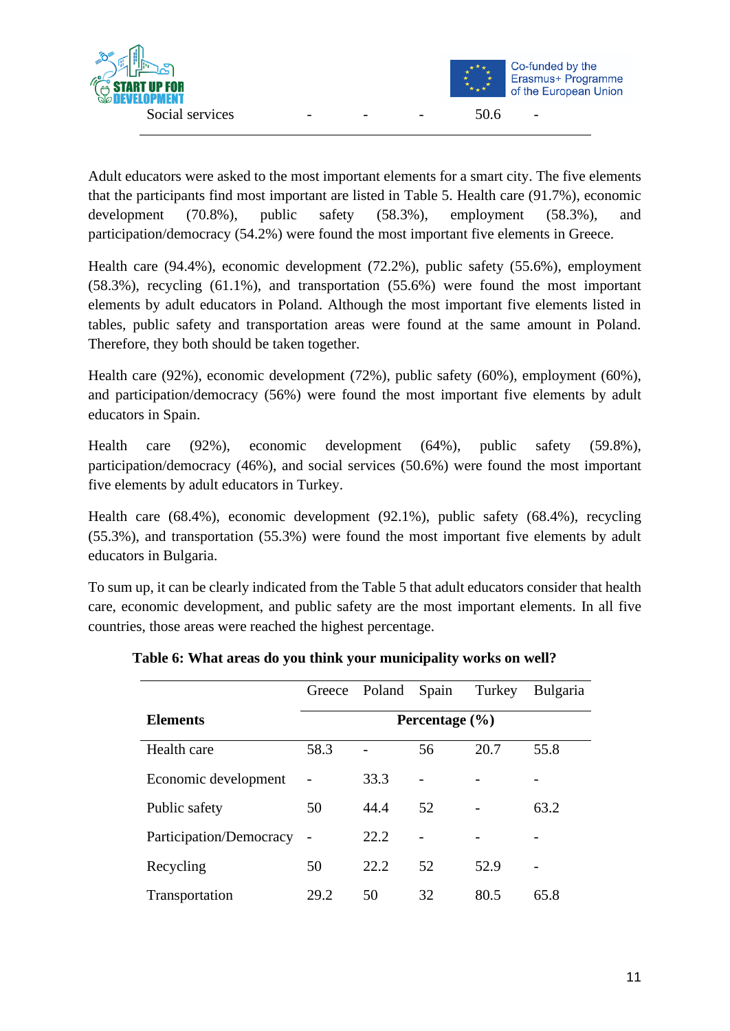

Adult educators were asked to the most important elements for a smart city. The five elements that the participants find most important are listed in Table 5. Health care (91.7%), economic development (70.8%), public safety (58.3%), employment (58.3%), and participation/democracy (54.2%) were found the most important five elements in Greece.

Health care (94.4%), economic development (72.2%), public safety (55.6%), employment (58.3%), recycling (61.1%), and transportation (55.6%) were found the most important elements by adult educators in Poland. Although the most important five elements listed in tables, public safety and transportation areas were found at the same amount in Poland. Therefore, they both should be taken together.

Health care (92%), economic development (72%), public safety (60%), employment (60%), and participation/democracy (56%) were found the most important five elements by adult educators in Spain.

Health care (92%), economic development (64%), public safety (59.8%), participation/democracy (46%), and social services (50.6%) were found the most important five elements by adult educators in Turkey.

Health care (68.4%), economic development (92.1%), public safety (68.4%), recycling (55.3%), and transportation (55.3%) were found the most important five elements by adult educators in Bulgaria.

To sum up, it can be clearly indicated from the Table 5 that adult educators consider that health care, economic development, and public safety are the most important elements. In all five countries, those areas were reached the highest percentage.

|                         | Greece | Poland | Spain              | Turkey | <b>Bulgaria</b> |
|-------------------------|--------|--------|--------------------|--------|-----------------|
| <b>Elements</b>         |        |        | Percentage $(\% )$ |        |                 |
| Health care             | 58.3   |        | 56                 | 20.7   | 55.8            |
| Economic development    |        | 33.3   |                    |        |                 |
| Public safety           | 50     | 44.4   | 52                 |        | 63.2            |
| Participation/Democracy |        | 22.2   |                    |        |                 |
| Recycling               | 50     | 22.2   | 52                 | 52.9   |                 |
| Transportation          | 29.2   | 50     | 32                 | 80.5   | 65.8            |

**Table 6: What areas do you think your municipality works on well?**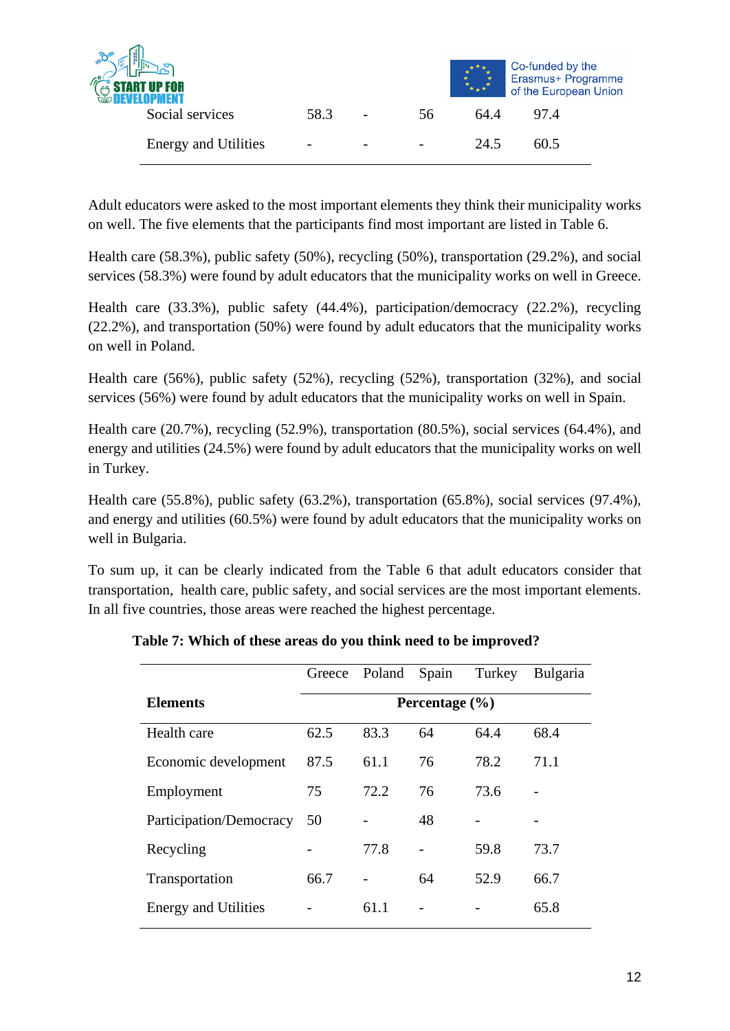| <b>START UP FOR</b><br><b>DEVELOPMENT</b> |      |                          |    |      | Co-funded by the<br>Erasmus+ Programme<br>of the European Union |
|-------------------------------------------|------|--------------------------|----|------|-----------------------------------------------------------------|
| Social services                           | 58.3 | $\overline{\phantom{0}}$ | 56 | 64.4 | 97.4                                                            |
| <b>Energy and Utilities</b>               | -    |                          |    | 24.5 | 60.5                                                            |

Adult educators were asked to the most important elements they think their municipality works on well. The five elements that the participants find most important are listed in Table 6.

Health care (58.3%), public safety (50%), recycling (50%), transportation (29.2%), and social services (58.3%) were found by adult educators that the municipality works on well in Greece.

Health care (33.3%), public safety (44.4%), participation/democracy (22.2%), recycling (22.2%), and transportation (50%) were found by adult educators that the municipality works on well in Poland.

Health care (56%), public safety (52%), recycling (52%), transportation (32%), and social services (56%) were found by adult educators that the municipality works on well in Spain.

Health care (20.7%), recycling (52.9%), transportation (80.5%), social services (64.4%), and energy and utilities (24.5%) were found by adult educators that the municipality works on well in Turkey.

Health care (55.8%), public safety (63.2%), transportation (65.8%), social services (97.4%), and energy and utilities (60.5%) were found by adult educators that the municipality works on well in Bulgaria.

To sum up, it can be clearly indicated from the Table 6 that adult educators consider that transportation, health care, public safety, and social services are the most important elements. In all five countries, those areas were reached the highest percentage.

|                             | Greece | Poland | Spain              | Turkey | <b>Bulgaria</b> |
|-----------------------------|--------|--------|--------------------|--------|-----------------|
| <b>Elements</b>             |        |        | Percentage $(\% )$ |        |                 |
| Health care                 | 62.5   | 83.3   | 64                 | 64.4   | 68.4            |
| Economic development        | 87.5   | 61.1   | 76                 | 78.2   | 71.1            |
| Employment                  | 75     | 72.2   | 76                 | 73.6   |                 |
| Participation/Democracy     | 50     |        | 48                 |        |                 |
| Recycling                   |        | 77.8   | -                  | 59.8   | 73.7            |
| Transportation              | 66.7   |        | 64                 | 52.9   | 66.7            |
| <b>Energy and Utilities</b> |        | 61.1   |                    |        | 65.8            |

**Table 7: Which of these areas do you think need to be improved?**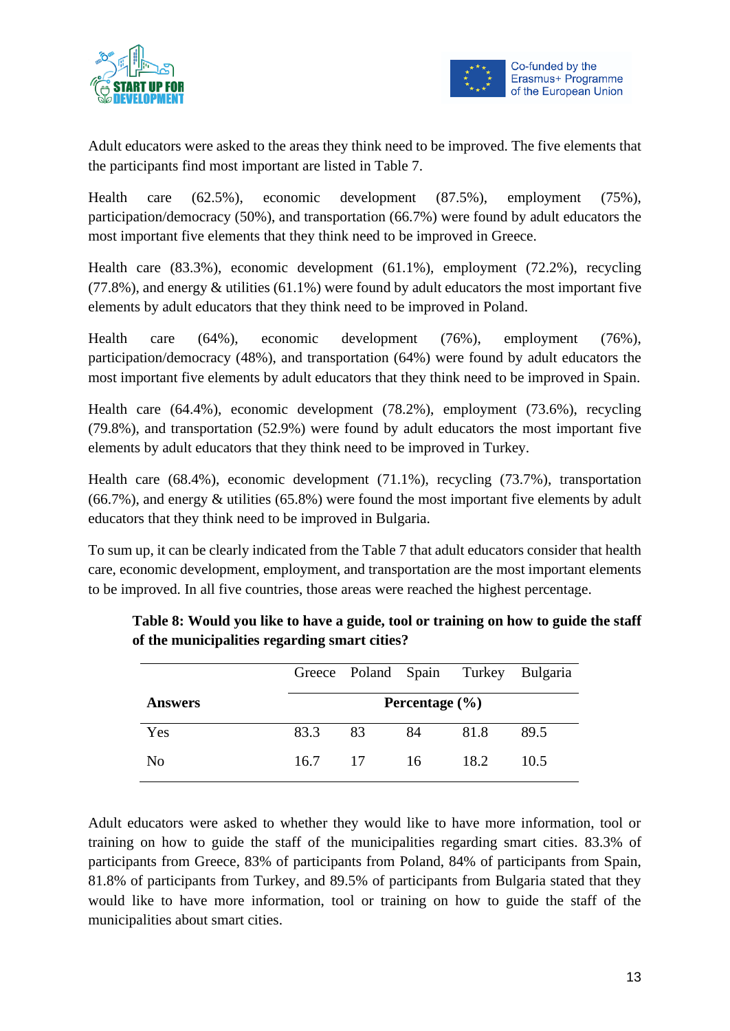



Adult educators were asked to the areas they think need to be improved. The five elements that the participants find most important are listed in Table 7.

Health care (62.5%), economic development (87.5%), employment (75%), participation/democracy (50%), and transportation (66.7%) were found by adult educators the most important five elements that they think need to be improved in Greece.

Health care (83.3%), economic development (61.1%), employment (72.2%), recycling  $(77.8\%)$ , and energy  $\&$  utilities  $(61.1\%)$  were found by adult educators the most important five elements by adult educators that they think need to be improved in Poland.

Health care (64%), economic development (76%), employment (76%), participation/democracy (48%), and transportation (64%) were found by adult educators the most important five elements by adult educators that they think need to be improved in Spain.

Health care (64.4%), economic development (78.2%), employment (73.6%), recycling (79.8%), and transportation (52.9%) were found by adult educators the most important five elements by adult educators that they think need to be improved in Turkey.

Health care (68.4%), economic development (71.1%), recycling (73.7%), transportation (66.7%), and energy & utilities (65.8%) were found the most important five elements by adult educators that they think need to be improved in Bulgaria.

To sum up, it can be clearly indicated from the Table 7 that adult educators consider that health care, economic development, employment, and transportation are the most important elements to be improved. In all five countries, those areas were reached the highest percentage.

|                |      |     |                    |      | Greece Poland Spain Turkey Bulgaria |
|----------------|------|-----|--------------------|------|-------------------------------------|
| <b>Answers</b> |      |     | Percentage $(\% )$ |      |                                     |
| Yes            | 83.3 | 83  | 84                 | 81.8 | 89.5                                |
| No             | 16.7 | -17 | - 16               | 18.2 | 10.5                                |

**Table 8: Would you like to have a guide, tool or training on how to guide the staff of the municipalities regarding smart cities?**

Adult educators were asked to whether they would like to have more information, tool or training on how to guide the staff of the municipalities regarding smart cities. 83.3% of participants from Greece, 83% of participants from Poland, 84% of participants from Spain, 81.8% of participants from Turkey, and 89.5% of participants from Bulgaria stated that they would like to have more information, tool or training on how to guide the staff of the municipalities about smart cities.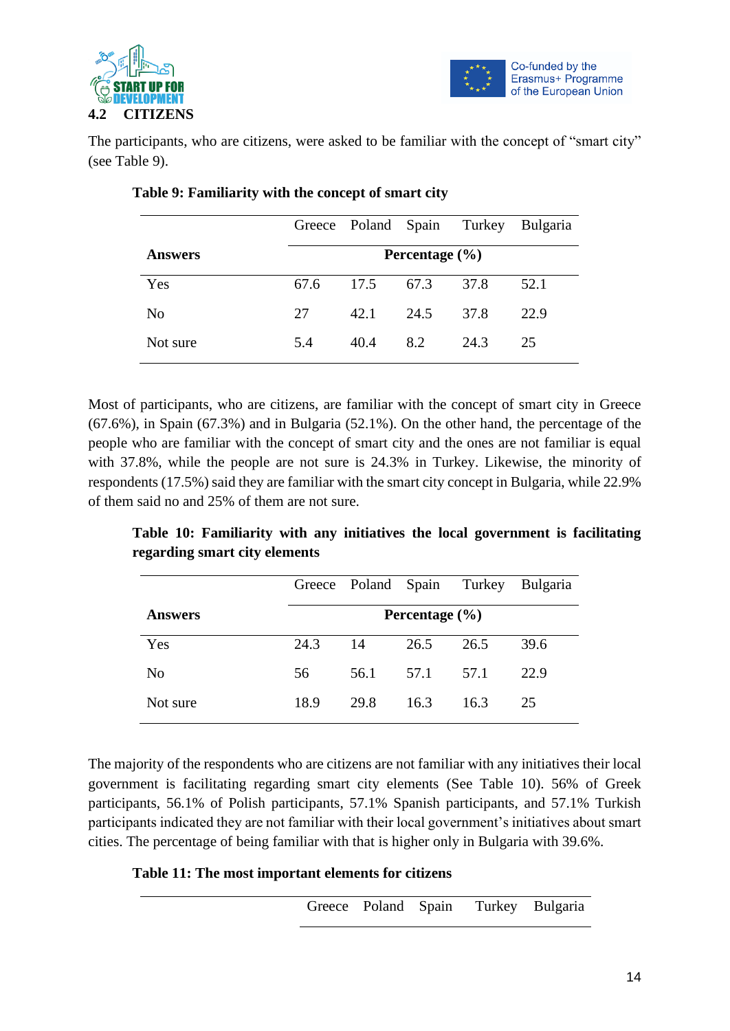



The participants, who are citizens, were asked to be familiar with the concept of "smart city" (see Table 9).

|                |                    | Greece Poland Spain Turkey |      |      | <b>Bulgaria</b> |  |  |  |  |
|----------------|--------------------|----------------------------|------|------|-----------------|--|--|--|--|
| <b>Answers</b> | Percentage $(\% )$ |                            |      |      |                 |  |  |  |  |
| Yes            | 67.6               | 17.5                       | 67.3 | 37.8 | 52.1            |  |  |  |  |
| No             | 27                 | 42.1                       | 24.5 | 37.8 | 22.9            |  |  |  |  |
| Not sure       | 5.4                | 40.4                       | 8.2  | 24.3 | 25              |  |  |  |  |

#### **Table 9: Familiarity with the concept of smart city**

Most of participants, who are citizens, are familiar with the concept of smart city in Greece (67.6%), in Spain (67.3%) and in Bulgaria (52.1%). On the other hand, the percentage of the people who are familiar with the concept of smart city and the ones are not familiar is equal with 37.8%, while the people are not sure is 24.3% in Turkey. Likewise, the minority of respondents (17.5%) said they are familiar with the smart city concept in Bulgaria, while 22.9% of them said no and 25% of them are not sure.

**Table 10: Familiarity with any initiatives the local government is facilitating regarding smart city elements**

|                |                    | Greece Poland Spain |      | Turkey | <b>Bulgaria</b> |  |  |  |  |
|----------------|--------------------|---------------------|------|--------|-----------------|--|--|--|--|
| <b>Answers</b> | Percentage $(\% )$ |                     |      |        |                 |  |  |  |  |
| Yes            | 24.3               | 14                  | 26.5 | 26.5   | 39.6            |  |  |  |  |
| No             | 56                 | 56.1                | 57.1 | 57.1   | 22.9            |  |  |  |  |
| Not sure       | 18.9               | 29.8                | 16.3 | 16.3   | 25              |  |  |  |  |

The majority of the respondents who are citizens are not familiar with any initiatives their local government is facilitating regarding smart city elements (See Table 10). 56% of Greek participants, 56.1% of Polish participants, 57.1% Spanish participants, and 57.1% Turkish participants indicated they are not familiar with their local government's initiatives about smart cities. The percentage of being familiar with that is higher only in Bulgaria with 39.6%.

**Table 11: The most important elements for citizens** 

| Greece Poland Spain Turkey Bulgaria |  |  |
|-------------------------------------|--|--|
|                                     |  |  |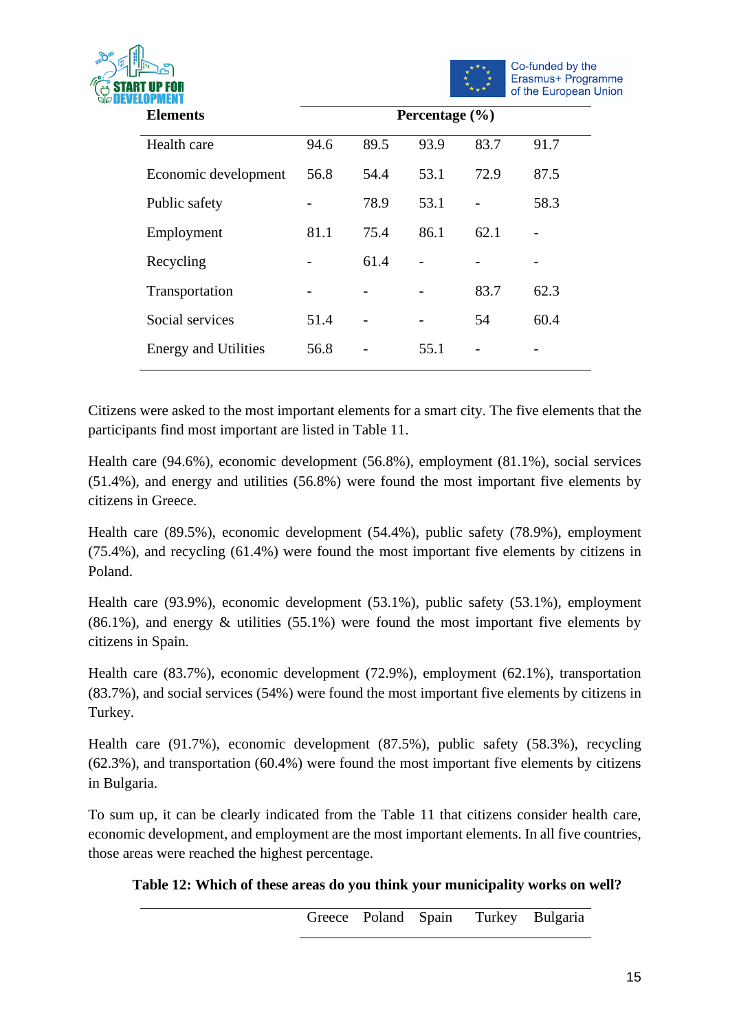



| <b>Elements</b>             | Percentage $(\% )$ |      |      |      |      |  |
|-----------------------------|--------------------|------|------|------|------|--|
| Health care                 | 94.6               | 89.5 | 93.9 | 83.7 | 91.7 |  |
| Economic development        | 56.8               | 54.4 | 53.1 | 72.9 | 87.5 |  |
| Public safety               |                    | 78.9 | 53.1 |      | 58.3 |  |
| Employment                  | 81.1               | 75.4 | 86.1 | 62.1 |      |  |
| Recycling                   |                    | 61.4 |      |      |      |  |
| Transportation              |                    |      |      | 83.7 | 62.3 |  |
| Social services             | 51.4               |      |      | 54   | 60.4 |  |
| <b>Energy and Utilities</b> | 56.8               |      | 55.1 |      |      |  |

Citizens were asked to the most important elements for a smart city. The five elements that the participants find most important are listed in Table 11.

Health care (94.6%), economic development (56.8%), employment (81.1%), social services (51.4%), and energy and utilities (56.8%) were found the most important five elements by citizens in Greece.

Health care (89.5%), economic development (54.4%), public safety (78.9%), employment (75.4%), and recycling (61.4%) were found the most important five elements by citizens in Poland.

Health care (93.9%), economic development (53.1%), public safety (53.1%), employment  $(86.1\%)$ , and energy  $\&$  utilities  $(55.1\%)$  were found the most important five elements by citizens in Spain.

Health care (83.7%), economic development (72.9%), employment (62.1%), transportation (83.7%), and social services (54%) were found the most important five elements by citizens in Turkey.

Health care (91.7%), economic development (87.5%), public safety (58.3%), recycling (62.3%), and transportation (60.4%) were found the most important five elements by citizens in Bulgaria.

To sum up, it can be clearly indicated from the Table 11 that citizens consider health care, economic development, and employment are the most important elements. In all five countries, those areas were reached the highest percentage.

**Table 12: Which of these areas do you think your municipality works on well?** 

Greece Poland Spain Turkey Bulgaria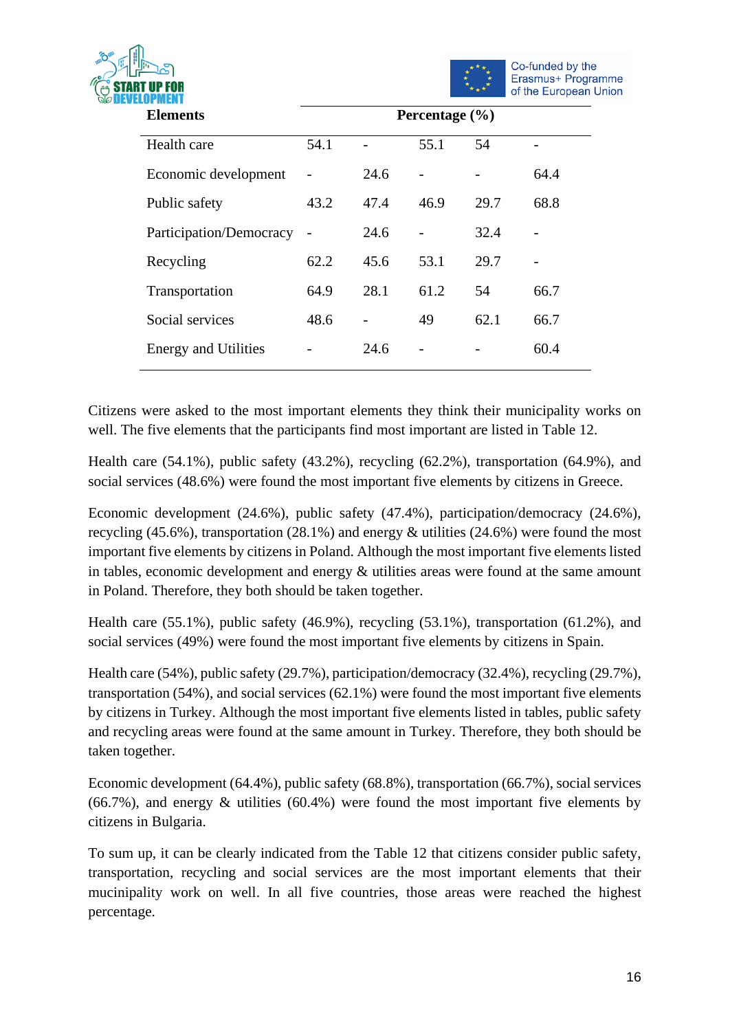



| <b>Elements</b>             | Percentage (%) |      |      |      |      |  |
|-----------------------------|----------------|------|------|------|------|--|
| Health care                 | 54.1           |      | 55.1 | 54   |      |  |
| Economic development        |                | 24.6 |      |      | 64.4 |  |
| Public safety               | 43.2           | 47.4 | 46.9 | 29.7 | 68.8 |  |
| Participation/Democracy     |                | 24.6 |      | 32.4 |      |  |
| Recycling                   | 62.2           | 45.6 | 53.1 | 29.7 |      |  |
| Transportation              | 64.9           | 28.1 | 61.2 | 54   | 66.7 |  |
| Social services             | 48.6           |      | 49   | 62.1 | 66.7 |  |
| <b>Energy and Utilities</b> |                | 24.6 |      |      | 60.4 |  |

Citizens were asked to the most important elements they think their municipality works on well. The five elements that the participants find most important are listed in Table 12.

Health care (54.1%), public safety (43.2%), recycling (62.2%), transportation (64.9%), and social services (48.6%) were found the most important five elements by citizens in Greece.

Economic development (24.6%), public safety (47.4%), participation/democracy (24.6%), recycling (45.6%), transportation (28.1%) and energy & utilities (24.6%) were found the most important five elements by citizens in Poland. Although the most important five elements listed in tables, economic development and energy & utilities areas were found at the same amount in Poland. Therefore, they both should be taken together.

Health care (55.1%), public safety (46.9%), recycling (53.1%), transportation (61.2%), and social services (49%) were found the most important five elements by citizens in Spain.

Health care (54%), public safety (29.7%), participation/democracy (32.4%), recycling (29.7%), transportation (54%), and social services (62.1%) were found the most important five elements by citizens in Turkey. Although the most important five elements listed in tables, public safety and recycling areas were found at the same amount in Turkey. Therefore, they both should be taken together.

Economic development (64.4%), public safety (68.8%), transportation (66.7%), social services (66.7%), and energy  $\&$  utilities (60.4%) were found the most important five elements by citizens in Bulgaria.

To sum up, it can be clearly indicated from the Table 12 that citizens consider public safety, transportation, recycling and social services are the most important elements that their mucinipality work on well. In all five countries, those areas were reached the highest percentage.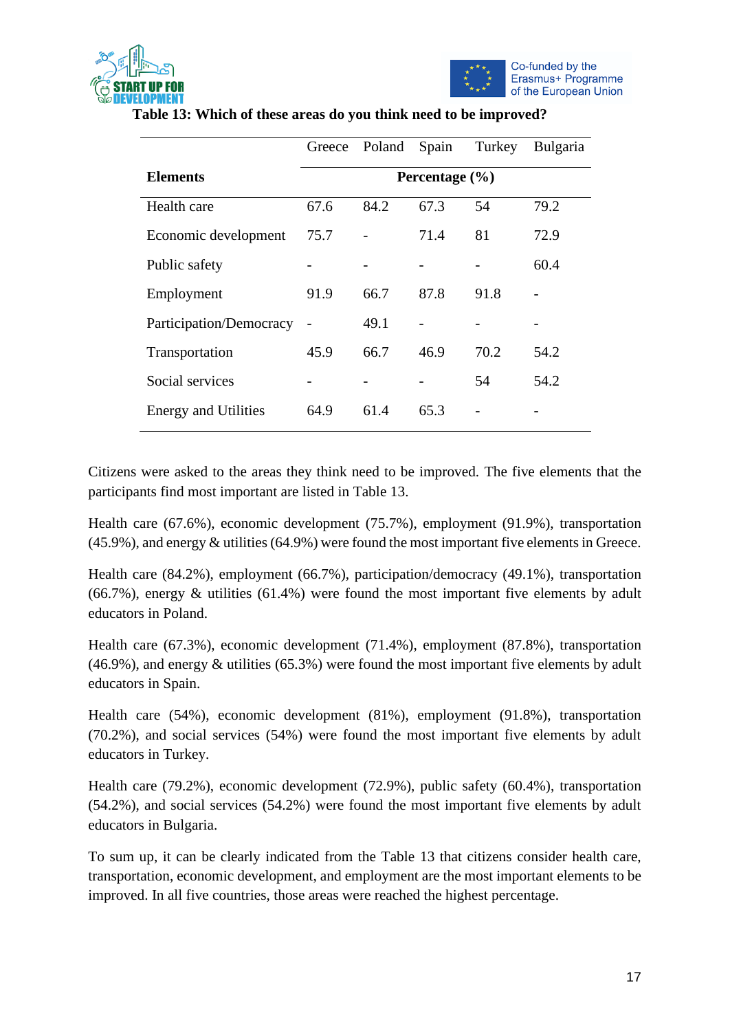



|                             | Greece | Poland | Spain              | Turkey | Bulgaria |
|-----------------------------|--------|--------|--------------------|--------|----------|
| <b>Elements</b>             |        |        | Percentage $(\% )$ |        |          |
| Health care                 | 67.6   | 84.2   | 67.3               | 54     | 79.2     |
| Economic development        | 75.7   |        | 71.4               | 81     | 72.9     |
| Public safety               |        |        |                    |        | 60.4     |
| Employment                  | 91.9   | 66.7   | 87.8               | 91.8   |          |
| Participation/Democracy     |        | 49.1   |                    |        |          |
| Transportation              | 45.9   | 66.7   | 46.9               | 70.2   | 54.2     |
| Social services             |        |        |                    | 54     | 54.2     |
| <b>Energy and Utilities</b> | 64.9   | 61.4   | 65.3               |        |          |

**Table 13: Which of these areas do you think need to be improved?** 

Citizens were asked to the areas they think need to be improved. The five elements that the participants find most important are listed in Table 13.

Health care (67.6%), economic development (75.7%), employment (91.9%), transportation (45.9%), and energy & utilities (64.9%) were found the most important five elements in Greece.

Health care (84.2%), employment (66.7%), participation/democracy (49.1%), transportation (66.7%), energy & utilities (61.4%) were found the most important five elements by adult educators in Poland.

Health care (67.3%), economic development (71.4%), employment (87.8%), transportation (46.9%), and energy & utilities (65.3%) were found the most important five elements by adult educators in Spain.

Health care (54%), economic development (81%), employment (91.8%), transportation (70.2%), and social services (54%) were found the most important five elements by adult educators in Turkey.

Health care (79.2%), economic development (72.9%), public safety (60.4%), transportation (54.2%), and social services (54.2%) were found the most important five elements by adult educators in Bulgaria.

To sum up, it can be clearly indicated from the Table 13 that citizens consider health care, transportation, economic development, and employment are the most important elements to be improved. In all five countries, those areas were reached the highest percentage.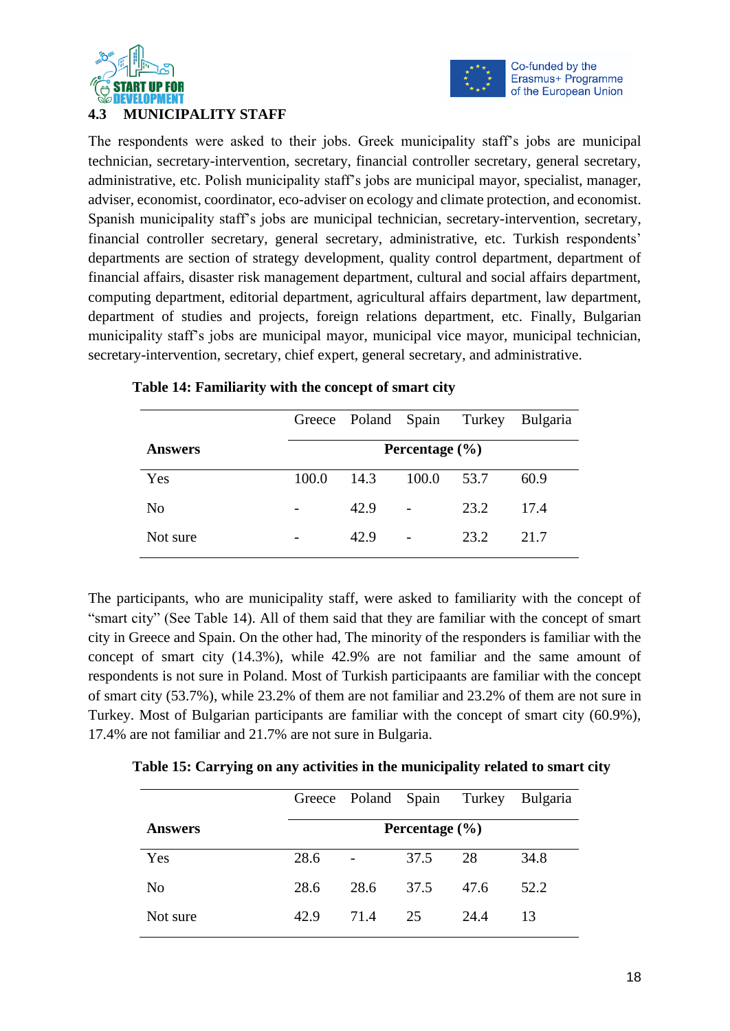



# **4.3 MUNICIPALITY STAFF**

The respondents were asked to their jobs. Greek municipality staff's jobs are municipal technician, secretary-intervention, secretary, financial controller secretary, general secretary, administrative, etc. Polish municipality staff's jobs are municipal mayor, specialist, manager, adviser, economist, coordinator, eco-adviser on ecology and climate protection, and economist. Spanish municipality staff's jobs are municipal technician, secretary-intervention, secretary, financial controller secretary, general secretary, administrative, etc. Turkish respondents' departments are section of strategy development, quality control department, department of financial affairs, disaster risk management department, cultural and social affairs department, computing department, editorial department, agricultural affairs department, law department, department of studies and projects, foreign relations department, etc. Finally, Bulgarian municipality staff's jobs are municipal mayor, municipal vice mayor, municipal technician, secretary-intervention, secretary, chief expert, general secretary, and administrative.

|                |       |      |                    |      | Greece Poland Spain Turkey Bulgaria |
|----------------|-------|------|--------------------|------|-------------------------------------|
| <b>Answers</b> |       |      | Percentage $(\% )$ |      |                                     |
| Yes            | 100.0 | 14.3 | 100.0              | 53.7 | 60.9                                |
| No             |       | 42.9 |                    | 23.2 | 17.4                                |
| Not sure       |       | 42.9 |                    | 23.2 | 21.7                                |

#### **Table 14: Familiarity with the concept of smart city**

The participants, who are municipality staff, were asked to familiarity with the concept of "smart city" (See Table 14). All of them said that they are familiar with the concept of smart city in Greece and Spain. On the other had, The minority of the responders is familiar with the concept of smart city (14.3%), while 42.9% are not familiar and the same amount of respondents is not sure in Poland. Most of Turkish participaants are familiar with the concept of smart city (53.7%), while 23.2% of them are not familiar and 23.2% of them are not sure in Turkey. Most of Bulgarian participants are familiar with the concept of smart city (60.9%), 17.4% are not familiar and 21.7% are not sure in Bulgaria.

|                |                    |      | Greece Poland Spain Turkey |      | <b>Bulgaria</b> |  |  |
|----------------|--------------------|------|----------------------------|------|-----------------|--|--|
| <b>Answers</b> | Percentage $(\% )$ |      |                            |      |                 |  |  |
| Yes            | 28.6               |      | 37.5                       | 28   | 34.8            |  |  |
| N <sub>0</sub> | 28.6               | 28.6 | 37.5                       | 47.6 | 52.2            |  |  |
| Not sure       | 42.9               | 71.4 | 25                         | 24.4 | 13              |  |  |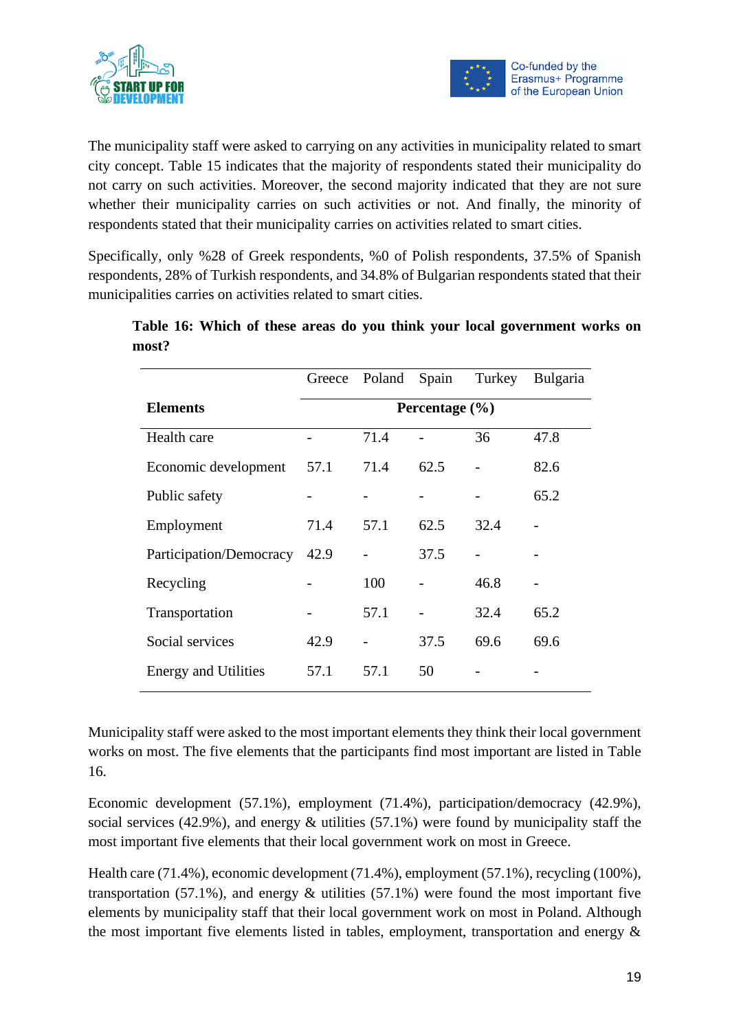



The municipality staff were asked to carrying on any activities in municipality related to smart city concept. Table 15 indicates that the majority of respondents stated their municipality do not carry on such activities. Moreover, the second majority indicated that they are not sure whether their municipality carries on such activities or not. And finally, the minority of respondents stated that their municipality carries on activities related to smart cities.

Specifically, only %28 of Greek respondents, %0 of Polish respondents, 37.5% of Spanish respondents, 28% of Turkish respondents, and 34.8% of Bulgarian respondents stated that their municipalities carries on activities related to smart cities.

|                             | Greece             | Poland | Spain | Turkey | <b>Bulgaria</b> |  |  |
|-----------------------------|--------------------|--------|-------|--------|-----------------|--|--|
| <b>Elements</b>             | Percentage $(\% )$ |        |       |        |                 |  |  |
| Health care                 |                    | 71.4   |       | 36     | 47.8            |  |  |
| Economic development        | 57.1               | 71.4   | 62.5  |        | 82.6            |  |  |
| Public safety               |                    |        |       |        | 65.2            |  |  |
| Employment                  | 71.4               | 57.1   | 62.5  | 32.4   |                 |  |  |
| Participation/Democracy     | 42.9               |        | 37.5  |        |                 |  |  |
| Recycling                   |                    | 100    |       | 46.8   |                 |  |  |
| Transportation              |                    | 57.1   |       | 32.4   | 65.2            |  |  |
| Social services             | 42.9               |        | 37.5  | 69.6   | 69.6            |  |  |
| <b>Energy and Utilities</b> | 57.1               | 57.1   | 50    |        |                 |  |  |

**Table 16: Which of these areas do you think your local government works on most?** 

Municipality staff were asked to the most important elements they think their local government works on most. The five elements that the participants find most important are listed in Table 16.

Economic development (57.1%), employment (71.4%), participation/democracy (42.9%), social services (42.9%), and energy & utilities (57.1%) were found by municipality staff the most important five elements that their local government work on most in Greece.

Health care (71.4%), economic development (71.4%), employment (57.1%), recycling (100%), transportation (57.1%), and energy  $&$  utilities (57.1%) were found the most important five elements by municipality staff that their local government work on most in Poland. Although the most important five elements listed in tables, employment, transportation and energy  $\&$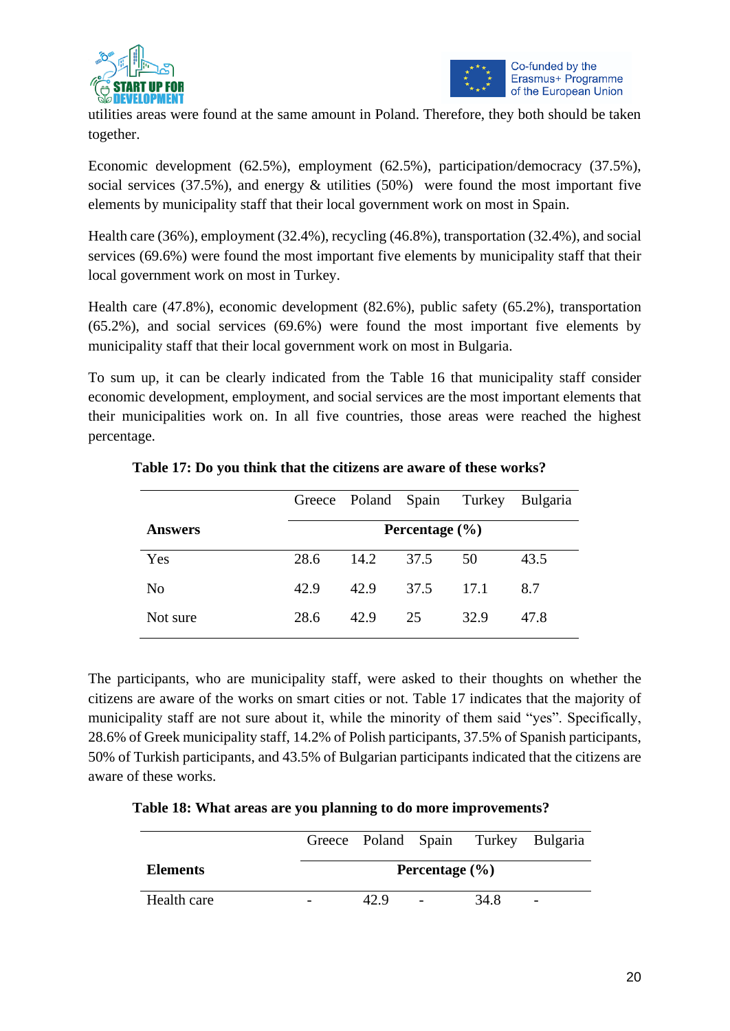



utilities areas were found at the same amount in Poland. Therefore, they both should be taken together.

Economic development (62.5%), employment (62.5%), participation/democracy (37.5%), social services (37.5%), and energy & utilities (50%) were found the most important five elements by municipality staff that their local government work on most in Spain.

Health care (36%), employment (32.4%), recycling (46.8%), transportation (32.4%), and social services (69.6%) were found the most important five elements by municipality staff that their local government work on most in Turkey.

Health care (47.8%), economic development (82.6%), public safety (65.2%), transportation (65.2%), and social services (69.6%) were found the most important five elements by municipality staff that their local government work on most in Bulgaria.

To sum up, it can be clearly indicated from the Table 16 that municipality staff consider economic development, employment, and social services are the most important elements that their municipalities work on. In all five countries, those areas were reached the highest percentage.

|                |      |      |                    |      | Greece Poland Spain Turkey Bulgaria |
|----------------|------|------|--------------------|------|-------------------------------------|
| <b>Answers</b> |      |      | Percentage $(\% )$ |      |                                     |
| Yes            | 28.6 | 14.2 | 37.5               | 50   | 43.5                                |
| N <sub>0</sub> | 42.9 | 42.9 | 37.5               | 17.1 | 8.7                                 |
| Not sure       | 28.6 | 42.9 | 25                 | 32.9 | 47.8                                |

# **Table 17: Do you think that the citizens are aware of these works?**

The participants, who are municipality staff, were asked to their thoughts on whether the citizens are aware of the works on smart cities or not. Table 17 indicates that the majority of municipality staff are not sure about it, while the minority of them said "yes". Specifically, 28.6% of Greek municipality staff, 14.2% of Polish participants, 37.5% of Spanish participants, 50% of Turkish participants, and 43.5% of Bulgarian participants indicated that the citizens are aware of these works.

|  |  | Table 18: What areas are you planning to do more improvements? |
|--|--|----------------------------------------------------------------|
|  |  |                                                                |

|                 |      |                    |      | Greece Poland Spain Turkey Bulgaria |
|-----------------|------|--------------------|------|-------------------------------------|
| <b>Elements</b> |      | Percentage $(\% )$ |      |                                     |
| Health care     | 42 Q | $\qquad \qquad -$  | 34.8 | $\overline{\phantom{m}}$            |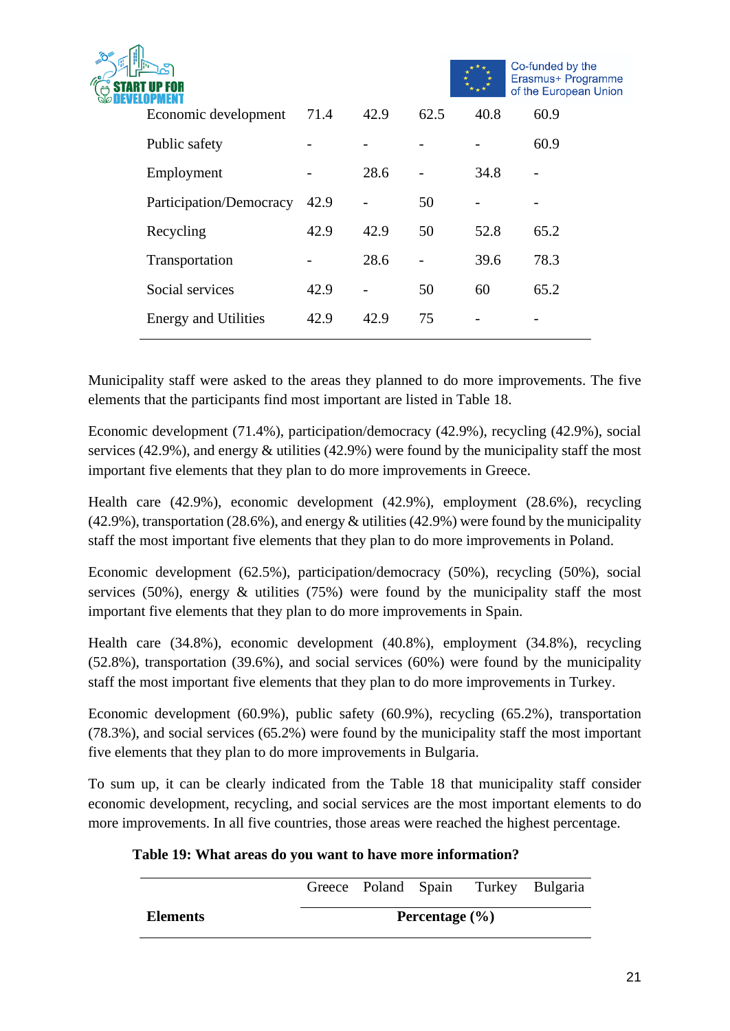|                             |      |      |      |      | Co-funded by the<br>Erasmus+ Programme<br>of the European Union |
|-----------------------------|------|------|------|------|-----------------------------------------------------------------|
| Economic development        | 71.4 | 42.9 | 62.5 | 40.8 | 60.9                                                            |
| Public safety               |      |      |      |      | 60.9                                                            |
| Employment                  |      | 28.6 |      | 34.8 |                                                                 |
| Participation/Democracy     | 42.9 |      | 50   |      |                                                                 |
| Recycling                   | 42.9 | 42.9 | 50   | 52.8 | 65.2                                                            |
| Transportation              |      | 28.6 |      | 39.6 | 78.3                                                            |
| Social services             | 42.9 |      | 50   | 60   | 65.2                                                            |
| <b>Energy and Utilities</b> | 42.9 | 42.9 | 75   |      |                                                                 |
|                             |      |      |      |      |                                                                 |

Municipality staff were asked to the areas they planned to do more improvements. The five elements that the participants find most important are listed in Table 18.

Economic development (71.4%), participation/democracy (42.9%), recycling (42.9%), social services (42.9%), and energy & utilities (42.9%) were found by the municipality staff the most important five elements that they plan to do more improvements in Greece.

Health care (42.9%), economic development (42.9%), employment (28.6%), recycling (42.9%), transportation (28.6%), and energy & utilities (42.9%) were found by the municipality staff the most important five elements that they plan to do more improvements in Poland.

Economic development (62.5%), participation/democracy (50%), recycling (50%), social services (50%), energy  $\&$  utilities (75%) were found by the municipality staff the most important five elements that they plan to do more improvements in Spain.

Health care (34.8%), economic development (40.8%), employment (34.8%), recycling (52.8%), transportation (39.6%), and social services (60%) were found by the municipality staff the most important five elements that they plan to do more improvements in Turkey.

Economic development (60.9%), public safety (60.9%), recycling (65.2%), transportation (78.3%), and social services (65.2%) were found by the municipality staff the most important five elements that they plan to do more improvements in Bulgaria.

To sum up, it can be clearly indicated from the Table 18 that municipality staff consider economic development, recycling, and social services are the most important elements to do more improvements. In all five countries, those areas were reached the highest percentage.

| Table 19: What areas do you want to have more information? |  |  |  |  |  |  |
|------------------------------------------------------------|--|--|--|--|--|--|
|                                                            |  |  |  |  |  |  |

|                 |                    |  |  |  | Greece Poland Spain Turkey Bulgaria |  |
|-----------------|--------------------|--|--|--|-------------------------------------|--|
| <b>Elements</b> | Percentage $(\% )$ |  |  |  |                                     |  |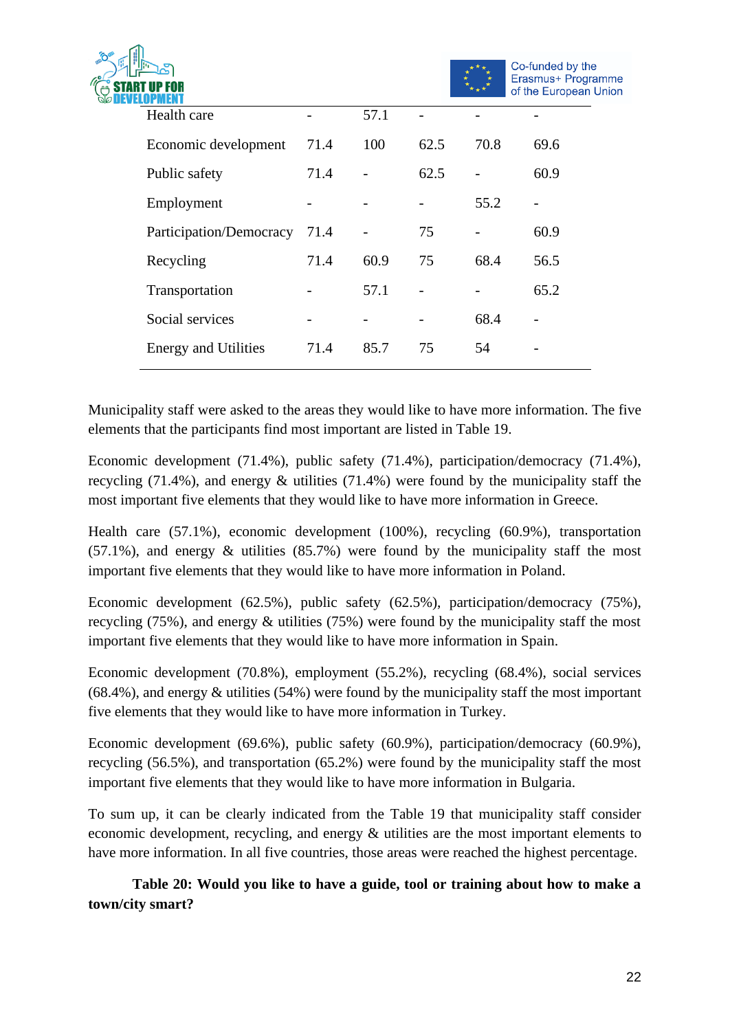|                             |      |      |      |      | Co-funded by the                            |
|-----------------------------|------|------|------|------|---------------------------------------------|
|                             |      |      |      |      | Erasmus+ Programme<br>of the European Union |
| Health care                 |      | 57.1 |      |      |                                             |
| Economic development        | 71.4 | 100  | 62.5 | 70.8 | 69.6                                        |
| Public safety               | 71.4 |      | 62.5 |      | 60.9                                        |
| Employment                  |      |      |      | 55.2 |                                             |
| Participation/Democracy     | 71.4 |      | 75   |      | 60.9                                        |
| Recycling                   | 71.4 | 60.9 | 75   | 68.4 | 56.5                                        |
| Transportation              |      | 57.1 |      |      | 65.2                                        |
| Social services             |      |      |      | 68.4 |                                             |
| <b>Energy and Utilities</b> | 71.4 | 85.7 | 75   | 54   |                                             |
|                             |      |      |      |      |                                             |

Municipality staff were asked to the areas they would like to have more information. The five elements that the participants find most important are listed in Table 19.

Economic development (71.4%), public safety (71.4%), participation/democracy (71.4%), recycling (71.4%), and energy & utilities (71.4%) were found by the municipality staff the most important five elements that they would like to have more information in Greece.

Health care (57.1%), economic development (100%), recycling (60.9%), transportation  $(57.1\%)$ , and energy  $\&$  utilities  $(85.7\%)$  were found by the municipality staff the most important five elements that they would like to have more information in Poland.

Economic development (62.5%), public safety (62.5%), participation/democracy (75%), recycling (75%), and energy & utilities (75%) were found by the municipality staff the most important five elements that they would like to have more information in Spain.

Economic development (70.8%), employment (55.2%), recycling (68.4%), social services  $(68.4\%)$ , and energy  $\&$  utilities (54%) were found by the municipality staff the most important five elements that they would like to have more information in Turkey.

Economic development (69.6%), public safety (60.9%), participation/democracy (60.9%), recycling (56.5%), and transportation (65.2%) were found by the municipality staff the most important five elements that they would like to have more information in Bulgaria.

To sum up, it can be clearly indicated from the Table 19 that municipality staff consider economic development, recycling, and energy & utilities are the most important elements to have more information. In all five countries, those areas were reached the highest percentage.

**Table 20: Would you like to have a guide, tool or training about how to make a town/city smart?**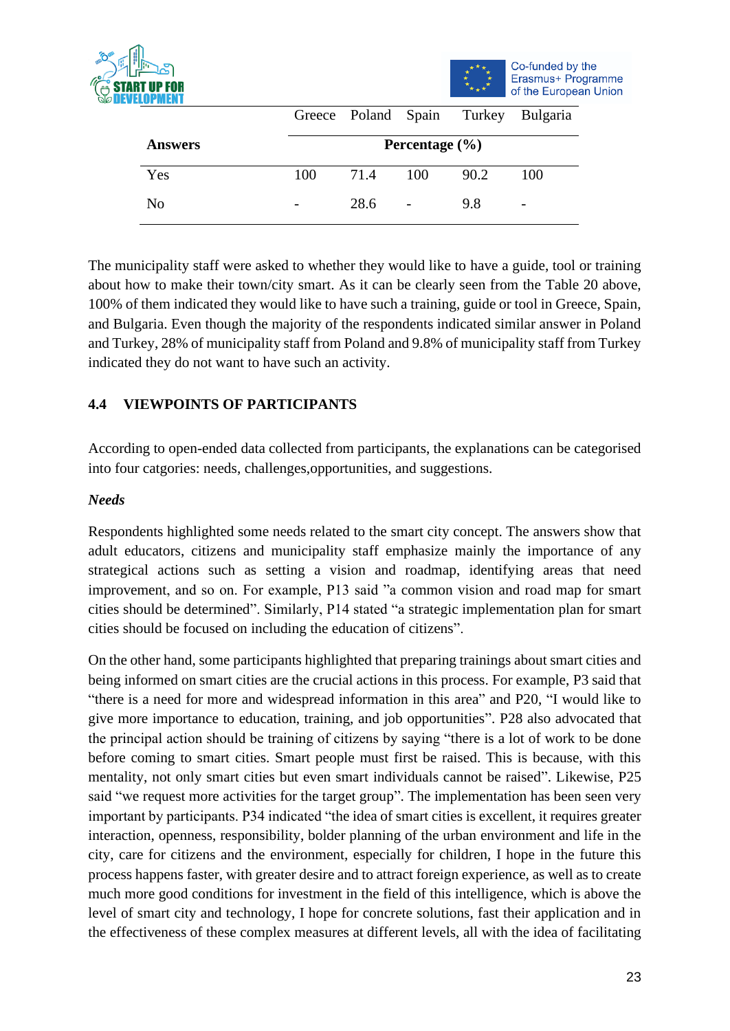



|                |                    |      |     | Greece Poland Spain Turkey Bulgaria |     |  |  |  |  |
|----------------|--------------------|------|-----|-------------------------------------|-----|--|--|--|--|
| <b>Answers</b> | Percentage $(\% )$ |      |     |                                     |     |  |  |  |  |
| Yes            | 100                | 71.4 | 100 | 90.2                                | 100 |  |  |  |  |
| N <sub>0</sub> |                    | 28.6 |     | 9.8                                 | -   |  |  |  |  |

The municipality staff were asked to whether they would like to have a guide, tool or training about how to make their town/city smart. As it can be clearly seen from the Table 20 above, 100% of them indicated they would like to have such a training, guide or tool in Greece, Spain, and Bulgaria. Even though the majority of the respondents indicated similar answer in Poland and Turkey, 28% of municipality staff from Poland and 9.8% of municipality staff from Turkey indicated they do not want to have such an activity.

# **4.4 VIEWPOINTS OF PARTICIPANTS**

According to open-ended data collected from participants, the explanations can be categorised into four catgories: needs, challenges,opportunities, and suggestions.

#### *Needs*

Respondents highlighted some needs related to the smart city concept. The answers show that adult educators, citizens and municipality staff emphasize mainly the importance of any strategical actions such as setting a vision and roadmap, identifying areas that need improvement, and so on. For example, P13 said "a common vision and road map for smart cities should be determined". Similarly, P14 stated "a strategic implementation plan for smart cities should be focused on including the education of citizens".

On the other hand, some participants highlighted that preparing trainings about smart cities and being informed on smart cities are the crucial actions in this process. For example, P3 said that "there is a need for more and widespread information in this area" and P20, "I would like to give more importance to education, training, and job opportunities". P28 also advocated that the principal action should be training of citizens by saying "there is a lot of work to be done before coming to smart cities. Smart people must first be raised. This is because, with this mentality, not only smart cities but even smart individuals cannot be raised". Likewise, P25 said "we request more activities for the target group". The implementation has been seen very important by participants. P34 indicated "the idea of smart cities is excellent, it requires greater interaction, openness, responsibility, bolder planning of the urban environment and life in the city, care for citizens and the environment, especially for children, I hope in the future this process happens faster, with greater desire and to attract foreign experience, as well as to create much more good conditions for investment in the field of this intelligence, which is above the level of smart city and technology, I hope for concrete solutions, fast their application and in the effectiveness of these complex measures at different levels, all with the idea of facilitating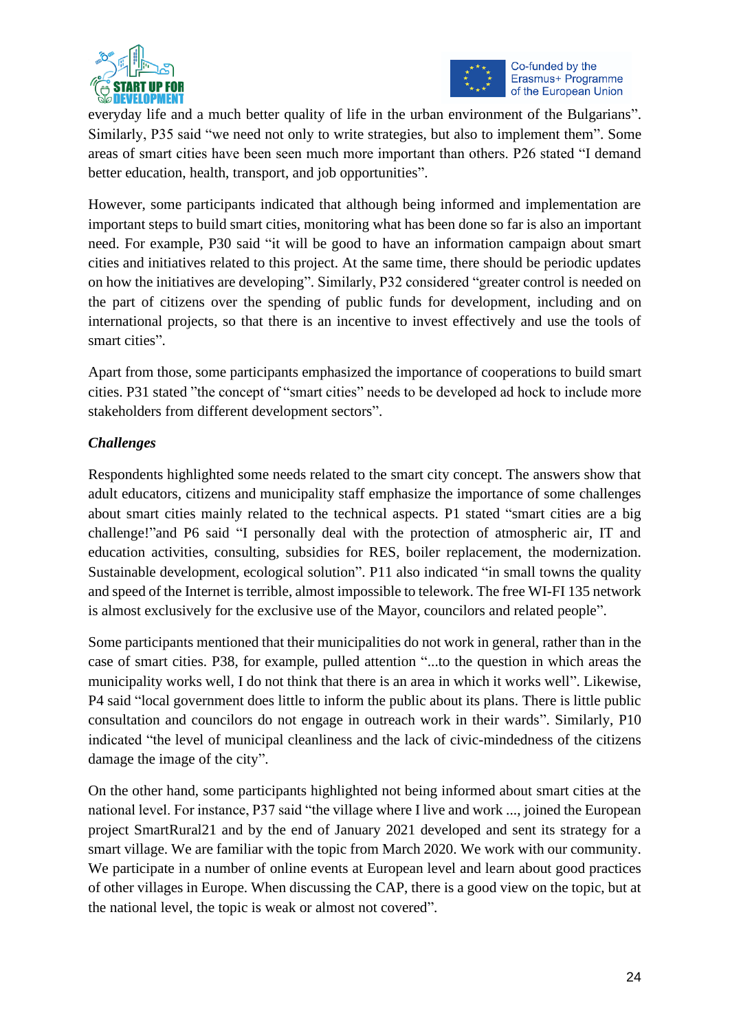



everyday life and a much better quality of life in the urban environment of the Bulgarians". Similarly, P35 said "we need not only to write strategies, but also to implement them". Some areas of smart cities have been seen much more important than others. P26 stated "I demand better education, health, transport, and job opportunities".

However, some participants indicated that although being informed and implementation are important steps to build smart cities, monitoring what has been done so far is also an important need. For example, P30 said "it will be good to have an information campaign about smart cities and initiatives related to this project. At the same time, there should be periodic updates on how the initiatives are developing". Similarly, P32 considered "greater control is needed on the part of citizens over the spending of public funds for development, including and on international projects, so that there is an incentive to invest effectively and use the tools of smart cities".

Apart from those, some participants emphasized the importance of cooperations to build smart cities. P31 stated "the concept of "smart cities" needs to be developed ad hock to include more stakeholders from different development sectors".

# *Challenges*

Respondents highlighted some needs related to the smart city concept. The answers show that adult educators, citizens and municipality staff emphasize the importance of some challenges about smart cities mainly related to the technical aspects. P1 stated "smart cities are a big challenge!"and P6 said "I personally deal with the protection of atmospheric air, IT and education activities, consulting, subsidies for RES, boiler replacement, the modernization. Sustainable development, ecological solution". P11 also indicated "in small towns the quality and speed of the Internet is terrible, almost impossible to telework. The free WI-FI 135 network is almost exclusively for the exclusive use of the Mayor, councilors and related people".

Some participants mentioned that their municipalities do not work in general, rather than in the case of smart cities. P38, for example, pulled attention "...to the question in which areas the municipality works well, I do not think that there is an area in which it works well". Likewise, P4 said "local government does little to inform the public about its plans. There is little public consultation and councilors do not engage in outreach work in their wards". Similarly, P10 indicated "the level of municipal cleanliness and the lack of civic-mindedness of the citizens damage the image of the city".

On the other hand, some participants highlighted not being informed about smart cities at the national level. For instance, P37 said "the village where I live and work ..., joined the European project SmartRural21 and by the end of January 2021 developed and sent its strategy for a smart village. We are familiar with the topic from March 2020. We work with our community. We participate in a number of online events at European level and learn about good practices of other villages in Europe. When discussing the CAP, there is a good view on the topic, but at the national level, the topic is weak or almost not covered".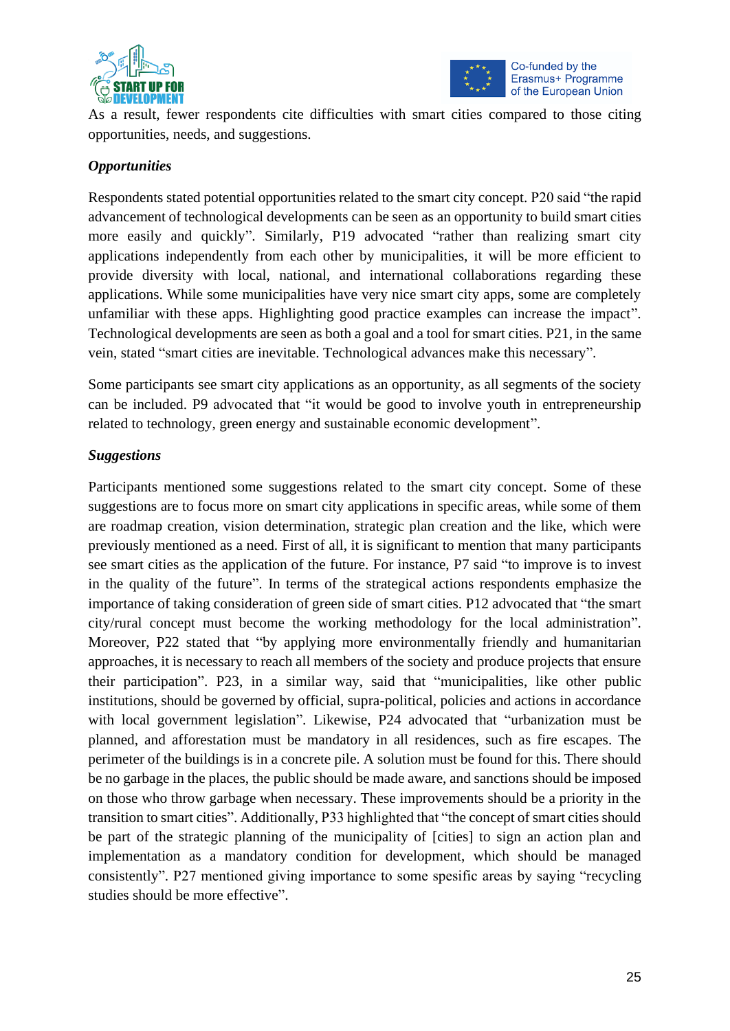



As a result, fewer respondents cite difficulties with smart cities compared to those citing opportunities, needs, and suggestions.

#### *Opportunities*

Respondents stated potential opportunities related to the smart city concept. P20 said "the rapid advancement of technological developments can be seen as an opportunity to build smart cities more easily and quickly". Similarly, P19 advocated "rather than realizing smart city applications independently from each other by municipalities, it will be more efficient to provide diversity with local, national, and international collaborations regarding these applications. While some municipalities have very nice smart city apps, some are completely unfamiliar with these apps. Highlighting good practice examples can increase the impact". Technological developments are seen as both a goal and a tool for smart cities. P21, in the same vein, stated "smart cities are inevitable. Technological advances make this necessary".

Some participants see smart city applications as an opportunity, as all segments of the society can be included. P9 advocated that "it would be good to involve youth in entrepreneurship related to technology, green energy and sustainable economic development".

#### *Suggestions*

Participants mentioned some suggestions related to the smart city concept. Some of these suggestions are to focus more on smart city applications in specific areas, while some of them are roadmap creation, vision determination, strategic plan creation and the like, which were previously mentioned as a need. First of all, it is significant to mention that many participants see smart cities as the application of the future. For instance, P7 said "to improve is to invest in the quality of the future". In terms of the strategical actions respondents emphasize the importance of taking consideration of green side of smart cities. P12 advocated that "the smart city/rural concept must become the working methodology for the local administration". Moreover, P22 stated that "by applying more environmentally friendly and humanitarian approaches, it is necessary to reach all members of the society and produce projects that ensure their participation". P23, in a similar way, said that "municipalities, like other public institutions, should be governed by official, supra-political, policies and actions in accordance with local government legislation". Likewise, P24 advocated that "urbanization must be planned, and afforestation must be mandatory in all residences, such as fire escapes. The perimeter of the buildings is in a concrete pile. A solution must be found for this. There should be no garbage in the places, the public should be made aware, and sanctions should be imposed on those who throw garbage when necessary. These improvements should be a priority in the transition to smart cities". Additionally, P33 highlighted that "the concept of smart cities should be part of the strategic planning of the municipality of [cities] to sign an action plan and implementation as a mandatory condition for development, which should be managed consistently". P27 mentioned giving importance to some spesific areas by saying "recycling studies should be more effective".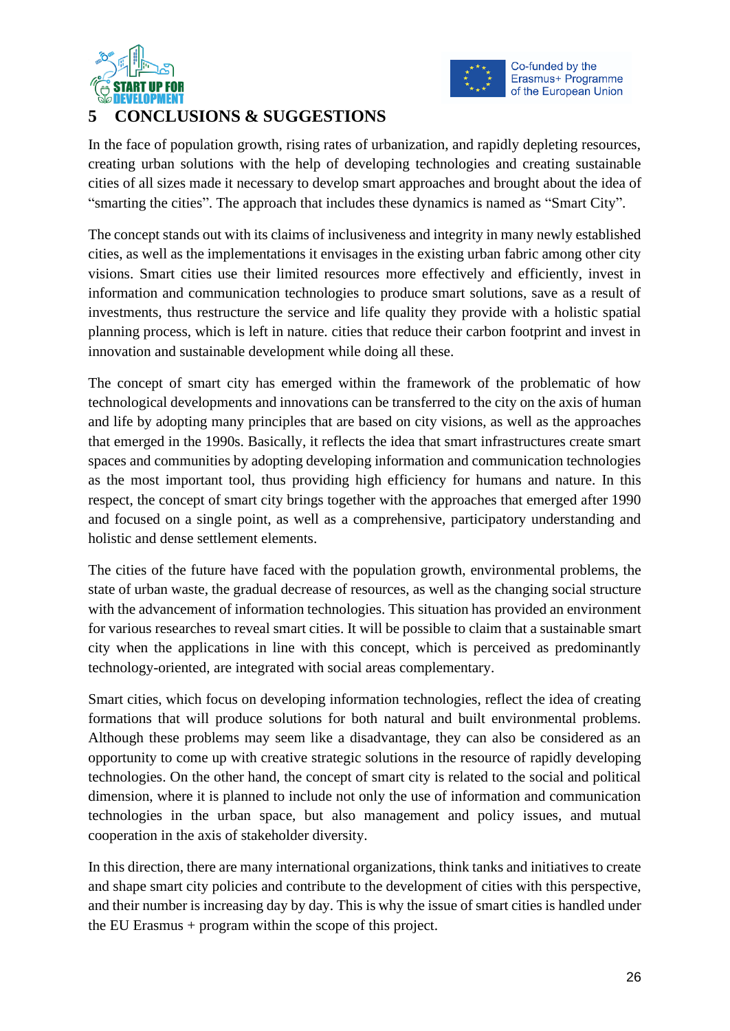



# **5 CONCLUSIONS & SUGGESTIONS**

In the face of population growth, rising rates of urbanization, and rapidly depleting resources, creating urban solutions with the help of developing technologies and creating sustainable cities of all sizes made it necessary to develop smart approaches and brought about the idea of "smarting the cities". The approach that includes these dynamics is named as "Smart City".

The concept stands out with its claims of inclusiveness and integrity in many newly established cities, as well as the implementations it envisages in the existing urban fabric among other city visions. Smart cities use their limited resources more effectively and efficiently, invest in information and communication technologies to produce smart solutions, save as a result of investments, thus restructure the service and life quality they provide with a holistic spatial planning process, which is left in nature. cities that reduce their carbon footprint and invest in innovation and sustainable development while doing all these.

The concept of smart city has emerged within the framework of the problematic of how technological developments and innovations can be transferred to the city on the axis of human and life by adopting many principles that are based on city visions, as well as the approaches that emerged in the 1990s. Basically, it reflects the idea that smart infrastructures create smart spaces and communities by adopting developing information and communication technologies as the most important tool, thus providing high efficiency for humans and nature. In this respect, the concept of smart city brings together with the approaches that emerged after 1990 and focused on a single point, as well as a comprehensive, participatory understanding and holistic and dense settlement elements.

The cities of the future have faced with the population growth, environmental problems, the state of urban waste, the gradual decrease of resources, as well as the changing social structure with the advancement of information technologies. This situation has provided an environment for various researches to reveal smart cities. It will be possible to claim that a sustainable smart city when the applications in line with this concept, which is perceived as predominantly technology-oriented, are integrated with social areas complementary.

Smart cities, which focus on developing information technologies, reflect the idea of creating formations that will produce solutions for both natural and built environmental problems. Although these problems may seem like a disadvantage, they can also be considered as an opportunity to come up with creative strategic solutions in the resource of rapidly developing technologies. On the other hand, the concept of smart city is related to the social and political dimension, where it is planned to include not only the use of information and communication technologies in the urban space, but also management and policy issues, and mutual cooperation in the axis of stakeholder diversity.

In this direction, there are many international organizations, think tanks and initiatives to create and shape smart city policies and contribute to the development of cities with this perspective, and their number is increasing day by day. This is why the issue of smart cities is handled under the EU Erasmus + program within the scope of this project.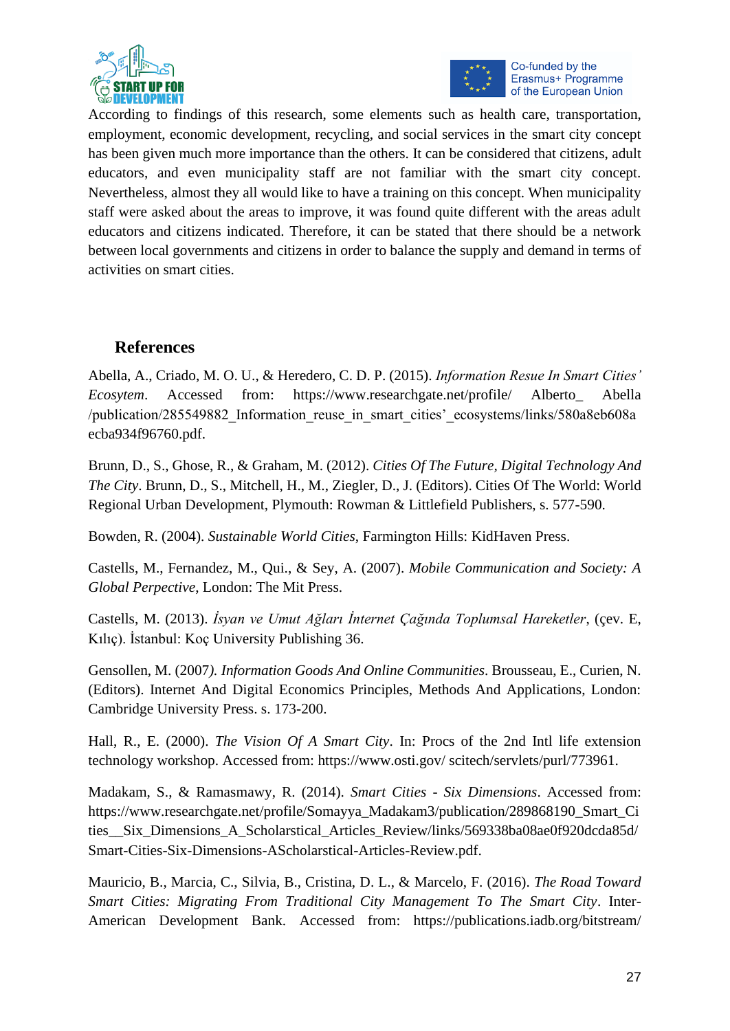



According to findings of this research, some elements such as health care, transportation, employment, economic development, recycling, and social services in the smart city concept has been given much more importance than the others. It can be considered that citizens, adult educators, and even municipality staff are not familiar with the smart city concept. Nevertheless, almost they all would like to have a training on this concept. When municipality staff were asked about the areas to improve, it was found quite different with the areas adult educators and citizens indicated. Therefore, it can be stated that there should be a network between local governments and citizens in order to balance the supply and demand in terms of activities on smart cities.

# **References**

Abella, A., Criado, M. O. U., & Heredero, C. D. P. (2015). *Information Resue In Smart Cities' Ecosytem*. Accessed from: https://www.researchgate.net/profile/ Alberto\_ Abella /publication/285549882\_Information\_reuse\_in\_smart\_cities'\_ecosystems/links/580a8eb608a ecba934f96760.pdf.

Brunn, D., S., Ghose, R., & Graham, M. (2012). *Cities Of The Future, Digital Technology And The City*. Brunn, D., S., Mitchell, H., M., Ziegler, D., J. (Editors). Cities Of The World: World Regional Urban Development, Plymouth: Rowman & Littlefield Publishers, s. 577-590.

Bowden, R. (2004). *Sustainable World Cities*, Farmington Hills: KidHaven Press.

Castells, M., Fernandez, M., Qui., & Sey, A. (2007). *Mobile Communication and Society: A Global Perpective*, London: The Mit Press.

Castells, M. (2013). *İsyan ve Umut Ağları İnternet Çağında Toplumsal Hareketler*, (çev. E, Kılıç). İstanbul: Koç University Publishing 36.

Gensollen, M. (2007*). Information Goods And Online Communities*. Brousseau, E., Curien, N. (Editors). Internet And Digital Economics Principles, Methods And Applications, London: Cambridge University Press. s. 173-200.

Hall, R., E. (2000). *The Vision Of A Smart City*. In: Procs of the 2nd Intl life extension technology workshop. Accessed from: https://www.osti.gov/ scitech/servlets/purl/773961.

Madakam, S., & Ramasmawy, R. (2014). *Smart Cities - Six Dimensions*. Accessed from: https://www.researchgate.net/profile/Somayya\_Madakam3/publication/289868190\_Smart\_Ci ties Six Dimensions A Scholarstical Articles Review/links/569338ba08ae0f920dcda85d/ Smart-Cities-Six-Dimensions-AScholarstical-Articles-Review.pdf.

Mauricio, B., Marcia, C., Silvia, B., Cristina, D. L., & Marcelo, F. (2016). *The Road Toward Smart Cities: Migrating From Traditional City Management To The Smart City*. Inter-American Development Bank. Accessed from: https://publications.iadb.org/bitstream/